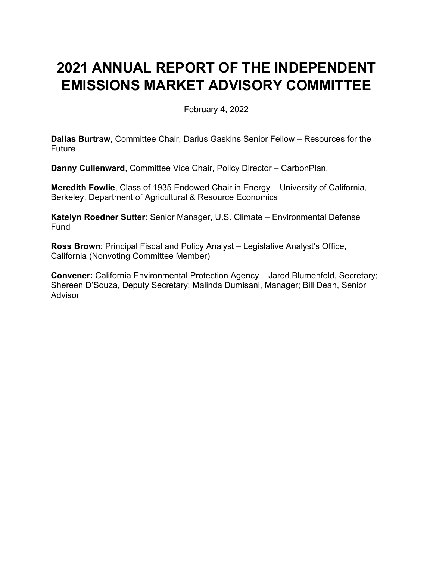# **2021 ANNUAL REPORT OF THE INDEPENDENT EMISSIONS MARKET ADVISORY COMMITTEE**

February 4, 2022

**Dallas Burtraw**, Committee Chair, Darius Gaskins Senior Fellow – Resources for the Future

**Danny Cullenward**, Committee Vice Chair, Policy Director – CarbonPlan,

**Meredith Fowlie**, Class of 1935 Endowed Chair in Energy – University of California, Berkeley, Department of Agricultural & Resource Economics

**Katelyn Roedner Sutter**: Senior Manager, U.S. Climate – Environmental Defense Fund

**Ross Brown**: Principal Fiscal and Policy Analyst – Legislative Analyst's Office, California (Nonvoting Committee Member)

**Convener:** California Environmental Protection Agency – Jared Blumenfeld, Secretary; Shereen D'Souza, Deputy Secretary; Malinda Dumisani, Manager; Bill Dean, Senior Advisor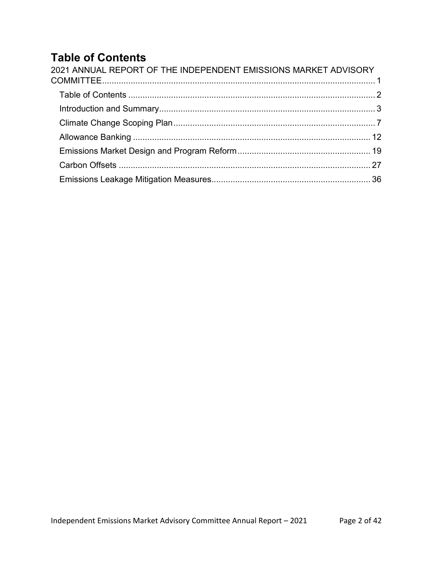# **Table of Contents**

| 2021 ANNUAL REPORT OF THE INDEPENDENT EMISSIONS MARKET ADVISORY |  |
|-----------------------------------------------------------------|--|
|                                                                 |  |
|                                                                 |  |
|                                                                 |  |
|                                                                 |  |
|                                                                 |  |
|                                                                 |  |
|                                                                 |  |
|                                                                 |  |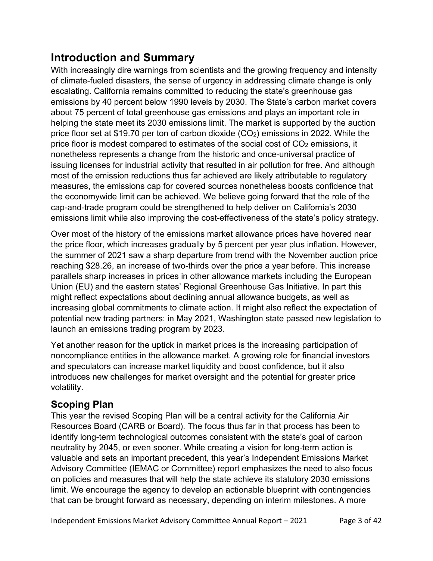# **Introduction and Summary**

With increasingly dire warnings from scientists and the growing frequency and intensity of climate-fueled disasters, the sense of urgency in addressing climate change is only escalating. California remains committed to reducing the state's greenhouse gas emissions by 40 percent below 1990 levels by 2030. The State's carbon market covers about 75 percent of total greenhouse gas emissions and plays an important role in helping the state meet its 2030 emissions limit. The market is supported by the auction price floor set at \$19.70 per ton of carbon dioxide  $(CO<sub>2</sub>)$  emissions in 2022. While the price floor is modest compared to estimates of the social cost of CO<sub>2</sub> emissions, it nonetheless represents a change from the historic and once-universal practice of issuing licenses for industrial activity that resulted in air pollution for free. And although most of the emission reductions thus far achieved are likely attributable to regulatory measures, the emissions cap for covered sources nonetheless boosts confidence that the economywide limit can be achieved. We believe going forward that the role of the cap-and-trade program could be strengthened to help deliver on California's 2030 emissions limit while also improving the cost-effectiveness of the state's policy strategy.

Over most of the history of the emissions market allowance prices have hovered near the price floor, which increases gradually by 5 percent per year plus inflation. However, the summer of 2021 saw a sharp departure from trend with the November auction price reaching \$28.26, an increase of two-thirds over the price a year before. This increase parallels sharp increases in prices in other allowance markets including the European Union (EU) and the eastern states' Regional Greenhouse Gas Initiative. In part this might reflect expectations about declining annual allowance budgets, as well as increasing global commitments to climate action. It might also reflect the expectation of potential new trading partners: in May 2021, Washington state passed new legislation to launch an emissions trading program by 2023.

Yet another reason for the uptick in market prices is the increasing participation of noncompliance entities in the allowance market. A growing role for financial investors and speculators can increase market liquidity and boost confidence, but it also introduces new challenges for market oversight and the potential for greater price volatility.

### **Scoping Plan**

This year the revised Scoping Plan will be a central activity for the California Air Resources Board (CARB or Board). The focus thus far in that process has been to identify long-term technological outcomes consistent with the state's goal of carbon neutrality by 2045, or even sooner. While creating a vision for long-term action is valuable and sets an important precedent, this year's Independent Emissions Market Advisory Committee (IEMAC or Committee) report emphasizes the need to also focus on policies and measures that will help the state achieve its statutory 2030 emissions limit. We encourage the agency to develop an actionable blueprint with contingencies that can be brought forward as necessary, depending on interim milestones. A more

Independent Emissions Market Advisory Committee Annual Report – 2021 Page 3 of 42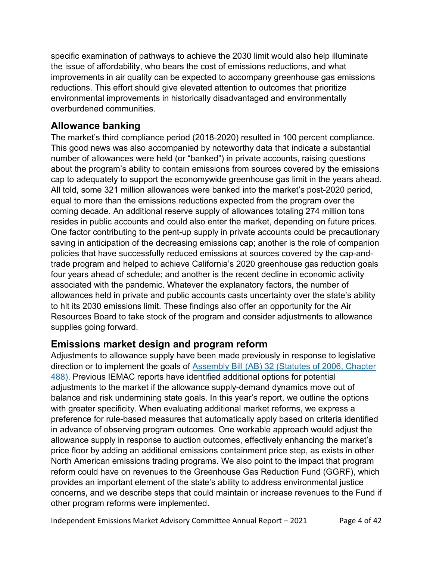specific examination of pathways to achieve the 2030 limit would also help illuminate the issue of affordability, who bears the cost of emissions reductions, and what improvements in air quality can be expected to accompany greenhouse gas emissions reductions. This effort should give elevated attention to outcomes that prioritize environmental improvements in historically disadvantaged and environmentally overburdened communities.

### **Allowance banking**

The market's third compliance period (2018-2020) resulted in 100 percent compliance. This good news was also accompanied by noteworthy data that indicate a substantial number of allowances were held (or "banked") in private accounts, raising questions about the program's ability to contain emissions from sources covered by the emissions cap to adequately to support the economywide greenhouse gas limit in the years ahead. All told, some 321 million allowances were banked into the market's post-2020 period, equal to more than the emissions reductions expected from the program over the coming decade. An additional reserve supply of allowances totaling 274 million tons resides in public accounts and could also enter the market, depending on future prices. One factor contributing to the pent-up supply in private accounts could be precautionary saving in anticipation of the decreasing emissions cap; another is the role of companion policies that have successfully reduced emissions at sources covered by the cap-andtrade program and helped to achieve California's 2020 greenhouse gas reduction goals four years ahead of schedule; and another is the recent decline in economic activity associated with the pandemic. Whatever the explanatory factors, the number of allowances held in private and public accounts casts uncertainty over the state's ability to hit its 2030 emissions limit. These findings also offer an opportunity for the Air Resources Board to take stock of the program and consider adjustments to allowance supplies going forward.

### **Emissions market design and program reform**

Adjustments to allowance supply have been made previously in response to legislative direction or to implement the goals of [Assembly Bill \(AB\) 32 \(Statutes of 2006, Chapter](https://leginfo.legislature.ca.gov/faces/billNavClient.xhtml?bill_id=200520060AB32)  [488\).](https://leginfo.legislature.ca.gov/faces/billNavClient.xhtml?bill_id=200520060AB32) Previous IEMAC reports have identified additional options for potential adjustments to the market if the allowance supply-demand dynamics move out of balance and risk undermining state goals. In this year's report, we outline the options with greater specificity. When evaluating additional market reforms, we express a preference for rule-based measures that automatically apply based on criteria identified in advance of observing program outcomes. One workable approach would adjust the allowance supply in response to auction outcomes, effectively enhancing the market's price floor by adding an additional emissions containment price step, as exists in other North American emissions trading programs. We also point to the impact that program reform could have on revenues to the Greenhouse Gas Reduction Fund (GGRF), which provides an important element of the state's ability to address environmental justice concerns, and we describe steps that could maintain or increase revenues to the Fund if other program reforms were implemented.

Independent Emissions Market Advisory Committee Annual Report – 2021 Page 4 of 42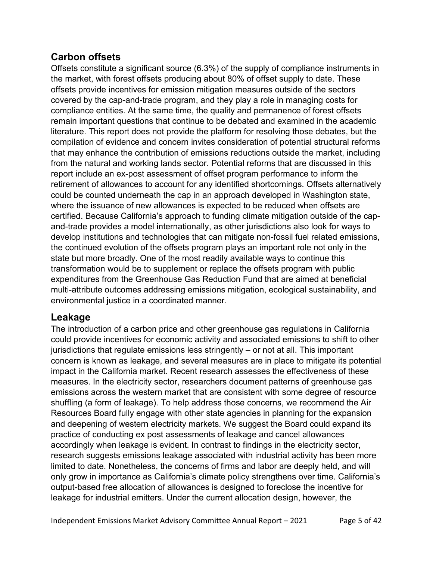### **Carbon offsets**

Offsets constitute a significant source (6.3%) of the supply of compliance instruments in the market, with forest offsets producing about 80% of offset supply to date. These offsets provide incentives for emission mitigation measures outside of the sectors covered by the cap-and-trade program, and they play a role in managing costs for compliance entities. At the same time, the quality and permanence of forest offsets remain important questions that continue to be debated and examined in the academic literature. This report does not provide the platform for resolving those debates, but the compilation of evidence and concern invites consideration of potential structural reforms that may enhance the contribution of emissions reductions outside the market, including from the natural and working lands sector. Potential reforms that are discussed in this report include an ex-post assessment of offset program performance to inform the retirement of allowances to account for any identified shortcomings. Offsets alternatively could be counted underneath the cap in an approach developed in Washington state, where the issuance of new allowances is expected to be reduced when offsets are certified. Because California's approach to funding climate mitigation outside of the capand-trade provides a model internationally, as other jurisdictions also look for ways to develop institutions and technologies that can mitigate non-fossil fuel related emissions, the continued evolution of the offsets program plays an important role not only in the state but more broadly. One of the most readily available ways to continue this transformation would be to supplement or replace the offsets program with public expenditures from the Greenhouse Gas Reduction Fund that are aimed at beneficial multi-attribute outcomes addressing emissions mitigation, ecological sustainability, and environmental justice in a coordinated manner.

### **Leakage**

The introduction of a carbon price and other greenhouse gas regulations in California could provide incentives for economic activity and associated emissions to shift to other jurisdictions that regulate emissions less stringently – or not at all. This important concern is known as leakage, and several measures are in place to mitigate its potential impact in the California market. Recent research assesses the effectiveness of these measures. In the electricity sector, researchers document patterns of greenhouse gas emissions across the western market that are consistent with some degree of resource shuffling (a form of leakage). To help address those concerns, we recommend the Air Resources Board fully engage with other state agencies in planning for the expansion and deepening of western electricity markets. We suggest the Board could expand its practice of conducting ex post assessments of leakage and cancel allowances accordingly when leakage is evident. In contrast to findings in the electricity sector, research suggests emissions leakage associated with industrial activity has been more limited to date. Nonetheless, the concerns of firms and labor are deeply held, and will only grow in importance as California's climate policy strengthens over time. California's output-based free allocation of allowances is designed to foreclose the incentive for leakage for industrial emitters. Under the current allocation design, however, the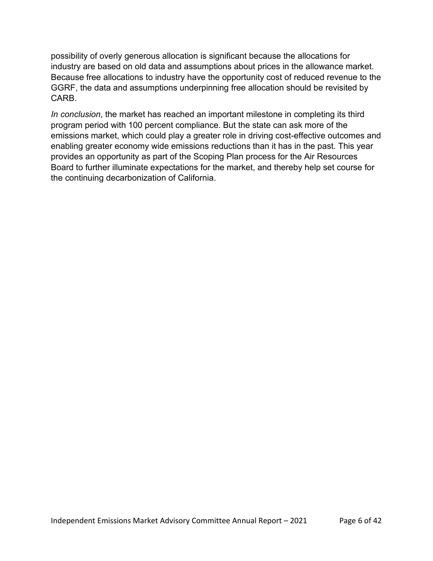possibility of overly generous allocation is significant because the allocations for industry are based on old data and assumptions about prices in the allowance market. Because free allocations to industry have the opportunity cost of reduced revenue to the GGRF, the data and assumptions underpinning free allocation should be revisited by CARB.

*In conclusion*, the market has reached an important milestone in completing its third program period with 100 percent compliance. But the state can ask more of the emissions market, which could play a greater role in driving cost-effective outcomes and enabling greater economy wide emissions reductions than it has in the past. This year provides an opportunity as part of the Scoping Plan process for the Air Resources Board to further illuminate expectations for the market, and thereby help set course for the continuing decarbonization of California.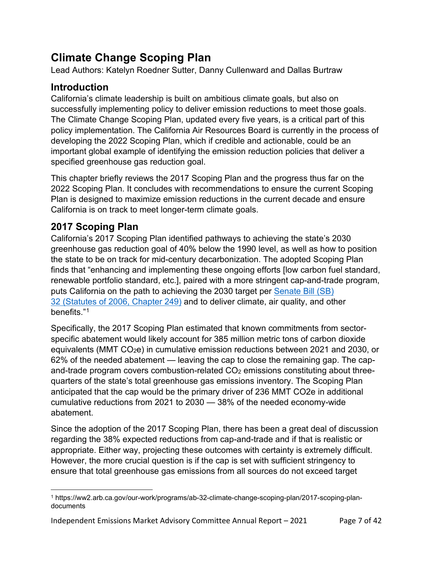# **Climate Change Scoping Plan**

Lead Authors: Katelyn Roedner Sutter, Danny Cullenward and Dallas Burtraw

### **Introduction**

California's climate leadership is built on ambitious climate goals, but also on successfully implementing policy to deliver emission reductions to meet those goals. The Climate Change Scoping Plan, updated every five years, is a critical part of this policy implementation. The California Air Resources Board is currently in the process of developing the 2022 Scoping Plan, which if credible and actionable, could be an important global example of identifying the emission reduction policies that deliver a specified greenhouse gas reduction goal.

This chapter briefly reviews the 2017 Scoping Plan and the progress thus far on the 2022 Scoping Plan. It concludes with recommendations to ensure the current Scoping Plan is designed to maximize emission reductions in the current decade and ensure California is on track to meet longer-term climate goals.

## **2017 Scoping Plan**

California's 2017 Scoping Plan identified pathways to achieving the state's 2030 greenhouse gas reduction goal of 40% below the 1990 level, as well as how to position the state to be on track for mid-century decarbonization. The adopted Scoping Plan finds that "enhancing and implementing these ongoing efforts [low carbon fuel standard, renewable portfolio standard, etc.], paired with a more stringent cap-and-trade program, puts California on the path to achieving the 2030 target per [Senate Bill \(SB\)](https://leginfo.legislature.ca.gov/faces/billNavClient.xhtml?bill_id=201520160SB32)  32 [\(Statutes of 2006, Chapter 249\)](https://leginfo.legislature.ca.gov/faces/billNavClient.xhtml?bill_id=201520160SB32) and to deliver climate, air quality, and other benefits."[1](#page-6-0)

Specifically, the 2017 Scoping Plan estimated that known commitments from sectorspecific abatement would likely account for 385 million metric tons of carbon dioxide equivalents (MMT CO2e) in cumulative emission reductions between 2021 and 2030, or 62% of the needed abatement — leaving the cap to close the remaining gap. The capand-trade program covers combustion-related  $CO<sub>2</sub>$  emissions constituting about threequarters of the state's total greenhouse gas emissions inventory. The Scoping Plan anticipated that the cap would be the primary driver of 236 MMT CO2e in additional cumulative reductions from 2021 to 2030 — 38% of the needed economy-wide abatement.

Since the adoption of the 2017 Scoping Plan, there has been a great deal of discussion regarding the 38% expected reductions from cap-and-trade and if that is realistic or appropriate. Either way, projecting these outcomes with certainty is extremely difficult. However, the more crucial question is if the cap is set with sufficient stringency to ensure that total greenhouse gas emissions from all sources do not exceed target

<span id="page-6-0"></span><sup>1</sup> https://ww2.arb.ca.gov/our-work/programs/ab-32-climate-change-scoping-plan/2017-scoping-plandocuments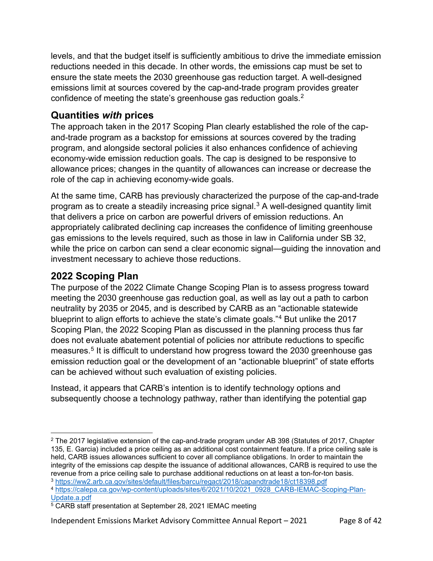levels, and that the budget itself is sufficiently ambitious to drive the immediate emission reductions needed in this decade. In other words, the emissions cap must be set to ensure the state meets the 2030 greenhouse gas reduction target. A well-designed emissions limit at sources covered by the cap-and-trade program provides greater confidence of meeting the state's greenhouse gas reduction goals.<sup>2</sup>

### **Quantities** *with* **prices**

The approach taken in the 2017 Scoping Plan clearly established the role of the capand-trade program as a backstop for emissions at sources covered by the trading program, and alongside sectoral policies it also enhances confidence of achieving economy-wide emission reduction goals. The cap is designed to be responsive to allowance prices; changes in the quantity of allowances can increase or decrease the role of the cap in achieving economy-wide goals.

At the same time, CARB has previously characterized the purpose of the cap-and-trade program as to create a steadily increasing price signal. $3$  A well-designed quantity limit that delivers a price on carbon are powerful drivers of emission reductions. An appropriately calibrated declining cap increases the confidence of limiting greenhouse gas emissions to the levels required, such as those in law in California under SB 32, while the price on carbon can send a clear economic signal—guiding the innovation and investment necessary to achieve those reductions.

## **2022 Scoping Plan**

The purpose of the 2022 Climate Change Scoping Plan is to assess progress toward meeting the 2030 greenhouse gas reduction goal, as well as lay out a path to carbon neutrality by 2035 or 2045, and is described by CARB as an "actionable statewide blueprint to align efforts to achieve the state's climate goals."[4](#page-7-2) But unlike the 2017 Scoping Plan, the 2022 Scoping Plan as discussed in the planning process thus far does not evaluate abatement potential of policies nor attribute reductions to specific measures.<sup>[5](#page-7-3)</sup> It is difficult to understand how progress toward the 2030 greenhouse gas emission reduction goal or the development of an "actionable blueprint" of state efforts can be achieved without such evaluation of existing policies.

Instead, it appears that CARB's intention is to identify technology options and subsequently choose a technology pathway, rather than identifying the potential gap

<span id="page-7-1"></span><sup>3</sup> <https://ww2.arb.ca.gov/sites/default/files/barcu/regact/2018/capandtrade18/ct18398.pdf>

Independent Emissions Market Advisory Committee Annual Report – 2021 Page 8 of 42

<span id="page-7-0"></span><sup>2</sup> The 2017 legislative extension of the cap-and-trade program under AB 398 (Statutes of 2017, Chapter 135, E. Garcia) included a price ceiling as an additional cost containment feature. If a price ceiling sale is held, CARB issues allowances sufficient to cover all compliance obligations. In order to maintain the integrity of the emissions cap despite the issuance of additional allowances, CARB is required to use the revenue from a price ceiling sale to purchase additional reductions on at least a ton-for-ton basis.

<span id="page-7-2"></span><sup>4</sup> [https://calepa.ca.gov/wp-content/uploads/sites/6/2021/10/2021\\_0928\\_CARB-IEMAC-Scoping-Plan-](https://calepa.ca.gov/wp-content/uploads/sites/6/2021/10/2021_0928_CARB-IEMAC-Scoping-Plan-Update.a.pdf)[Update.a.pdf](https://calepa.ca.gov/wp-content/uploads/sites/6/2021/10/2021_0928_CARB-IEMAC-Scoping-Plan-Update.a.pdf)

<span id="page-7-3"></span><sup>5</sup> CARB staff presentation at September 28, 2021 IEMAC meeting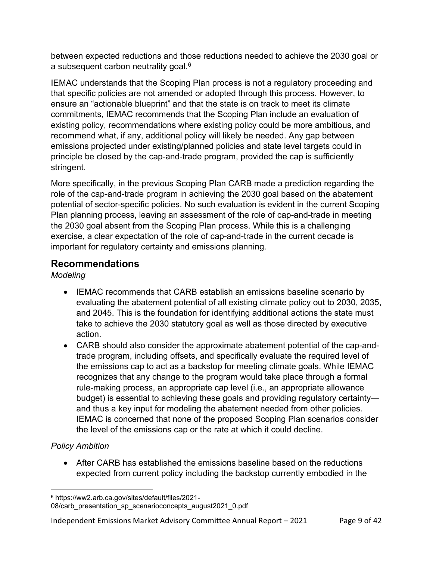between expected reductions and those reductions needed to achieve the 2030 goal or a subsequent carbon neutrality goal.<sup>[6](#page-8-0)</sup>

IEMAC understands that the Scoping Plan process is not a regulatory proceeding and that specific policies are not amended or adopted through this process. However, to ensure an "actionable blueprint" and that the state is on track to meet its climate commitments, IEMAC recommends that the Scoping Plan include an evaluation of existing policy, recommendations where existing policy could be more ambitious, and recommend what, if any, additional policy will likely be needed. Any gap between emissions projected under existing/planned policies and state level targets could in principle be closed by the cap-and-trade program, provided the cap is sufficiently stringent.

More specifically, in the previous Scoping Plan CARB made a prediction regarding the role of the cap-and-trade program in achieving the 2030 goal based on the abatement potential of sector-specific policies. No such evaluation is evident in the current Scoping Plan planning process, leaving an assessment of the role of cap-and-trade in meeting the 2030 goal absent from the Scoping Plan process. While this is a challenging exercise, a clear expectation of the role of cap-and-trade in the current decade is important for regulatory certainty and emissions planning.

### **Recommendations**

*Modeling*

- IEMAC recommends that CARB establish an emissions baseline scenario by evaluating the abatement potential of all existing climate policy out to 2030, 2035, and 2045. This is the foundation for identifying additional actions the state must take to achieve the 2030 statutory goal as well as those directed by executive action.
- CARB should also consider the approximate abatement potential of the cap-andtrade program, including offsets, and specifically evaluate the required level of the emissions cap to act as a backstop for meeting climate goals. While IEMAC recognizes that any change to the program would take place through a formal rule-making process, an appropriate cap level (i.e., an appropriate allowance budget) is essential to achieving these goals and providing regulatory certainty and thus a key input for modeling the abatement needed from other policies. IEMAC is concerned that none of the proposed Scoping Plan scenarios consider the level of the emissions cap or the rate at which it could decline.

### *Policy Ambition*

• After CARB has established the emissions baseline based on the reductions expected from current policy including the backstop currently embodied in the

<span id="page-8-0"></span><sup>6</sup> https://ww2.arb.ca.gov/sites/default/files/2021-

<sup>08/</sup>carb\_presentation\_sp\_scenarioconcepts\_august2021\_0.pdf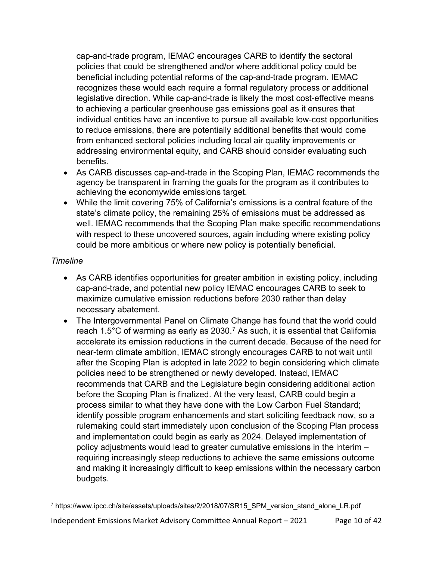cap-and-trade program, IEMAC encourages CARB to identify the sectoral policies that could be strengthened and/or where additional policy could be beneficial including potential reforms of the cap-and-trade program. IEMAC recognizes these would each require a formal regulatory process or additional legislative direction. While cap-and-trade is likely the most cost-effective means to achieving a particular greenhouse gas emissions goal as it ensures that individual entities have an incentive to pursue all available low-cost opportunities to reduce emissions, there are potentially additional benefits that would come from enhanced sectoral policies including local air quality improvements or addressing environmental equity, and CARB should consider evaluating such benefits.

- As CARB discusses cap-and-trade in the Scoping Plan, IEMAC recommends the agency be transparent in framing the goals for the program as it contributes to achieving the economywide emissions target.
- While the limit covering 75% of California's emissions is a central feature of the state's climate policy, the remaining 25% of emissions must be addressed as well. IEMAC recommends that the Scoping Plan make specific recommendations with respect to these uncovered sources, again including where existing policy could be more ambitious or where new policy is potentially beneficial.

#### *Timeline*

- As CARB identifies opportunities for greater ambition in existing policy, including cap-and-trade, and potential new policy IEMAC encourages CARB to seek to maximize cumulative emission reductions before 2030 rather than delay necessary abatement.
- The Intergovernmental Panel on Climate Change has found that the world could reach 1.5°C of warming as early as 2030.<sup>[7](#page-9-0)</sup> As such, it is essential that California accelerate its emission reductions in the current decade. Because of the need for near-term climate ambition, IEMAC strongly encourages CARB to not wait until after the Scoping Plan is adopted in late 2022 to begin considering which climate policies need to be strengthened or newly developed. Instead, IEMAC recommends that CARB and the Legislature begin considering additional action before the Scoping Plan is finalized. At the very least, CARB could begin a process similar to what they have done with the Low Carbon Fuel Standard; identify possible program enhancements and start soliciting feedback now, so a rulemaking could start immediately upon conclusion of the Scoping Plan process and implementation could begin as early as 2024. Delayed implementation of policy adjustments would lead to greater cumulative emissions in the interim – requiring increasingly steep reductions to achieve the same emissions outcome and making it increasingly difficult to keep emissions within the necessary carbon budgets.

<span id="page-9-0"></span><sup>7</sup> https://www.ipcc.ch/site/assets/uploads/sites/2/2018/07/SR15\_SPM\_version\_stand\_alone\_LR.pdf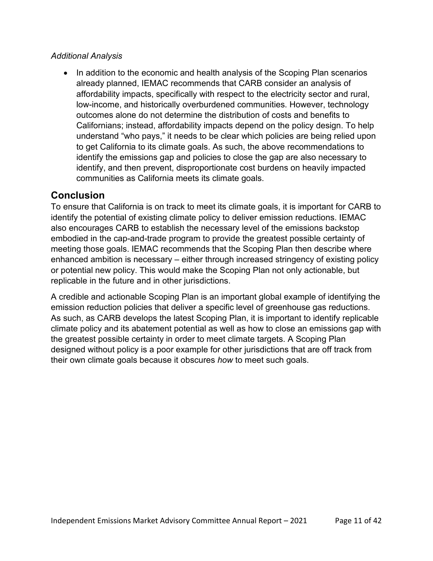#### *Additional Analysis*

• In addition to the economic and health analysis of the Scoping Plan scenarios already planned, IEMAC recommends that CARB consider an analysis of affordability impacts, specifically with respect to the electricity sector and rural, low-income, and historically overburdened communities. However, technology outcomes alone do not determine the distribution of costs and benefits to Californians; instead, affordability impacts depend on the policy design. To help understand "who pays," it needs to be clear which policies are being relied upon to get California to its climate goals. As such, the above recommendations to identify the emissions gap and policies to close the gap are also necessary to identify, and then prevent, disproportionate cost burdens on heavily impacted communities as California meets its climate goals.

### **Conclusion**

To ensure that California is on track to meet its climate goals, it is important for CARB to identify the potential of existing climate policy to deliver emission reductions. IEMAC also encourages CARB to establish the necessary level of the emissions backstop embodied in the cap-and-trade program to provide the greatest possible certainty of meeting those goals. IEMAC recommends that the Scoping Plan then describe where enhanced ambition is necessary – either through increased stringency of existing policy or potential new policy. This would make the Scoping Plan not only actionable, but replicable in the future and in other jurisdictions.

A credible and actionable Scoping Plan is an important global example of identifying the emission reduction policies that deliver a specific level of greenhouse gas reductions. As such, as CARB develops the latest Scoping Plan, it is important to identify replicable climate policy and its abatement potential as well as how to close an emissions gap with the greatest possible certainty in order to meet climate targets. A Scoping Plan designed without policy is a poor example for other jurisdictions that are off track from their own climate goals because it obscures *how* to meet such goals.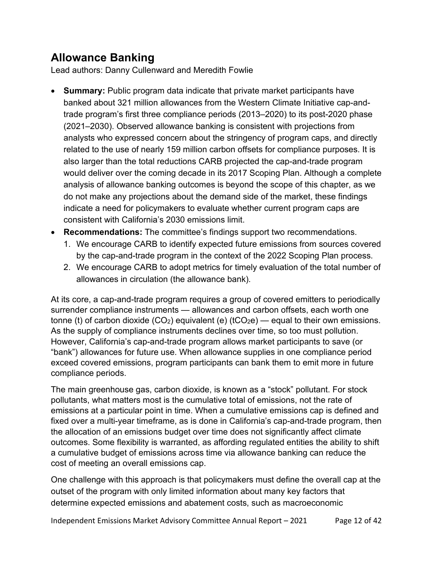# **Allowance Banking**

Lead authors: Danny Cullenward and Meredith Fowlie

- **Summary:** Public program data indicate that private market participants have banked about 321 million allowances from the Western Climate Initiative cap-andtrade program's first three compliance periods (2013–2020) to its post-2020 phase (2021–2030). Observed allowance banking is consistent with projections from analysts who expressed concern about the stringency of program caps, and directly related to the use of nearly 159 million carbon offsets for compliance purposes. It is also larger than the total reductions CARB projected the cap-and-trade program would deliver over the coming decade in its 2017 Scoping Plan. Although a complete analysis of allowance banking outcomes is beyond the scope of this chapter, as we do not make any projections about the demand side of the market, these findings indicate a need for policymakers to evaluate whether current program caps are consistent with California's 2030 emissions limit.
- **Recommendations:** The committee's findings support two recommendations.
	- 1. We encourage CARB to identify expected future emissions from sources covered by the cap-and-trade program in the context of the 2022 Scoping Plan process.
	- 2. We encourage CARB to adopt metrics for timely evaluation of the total number of allowances in circulation (the allowance bank).

At its core, a cap-and-trade program requires a group of covered emitters to periodically surrender compliance instruments — allowances and carbon offsets, each worth one tonne (t) of carbon dioxide  $(CO_2)$  equivalent (e)  $(tCO_2e)$  — equal to their own emissions. As the supply of compliance instruments declines over time, so too must pollution. However, California's cap-and-trade program allows market participants to save (or "bank") allowances for future use. When allowance supplies in one compliance period exceed covered emissions, program participants can bank them to emit more in future compliance periods.

The main greenhouse gas, carbon dioxide, is known as a "stock" pollutant. For stock pollutants, what matters most is the cumulative total of emissions, not the rate of emissions at a particular point in time. When a cumulative emissions cap is defined and fixed over a multi-year timeframe, as is done in California's cap-and-trade program, then the allocation of an emissions budget over time does not significantly affect climate outcomes. Some flexibility is warranted, as affording regulated entities the ability to shift a cumulative budget of emissions across time via allowance banking can reduce the cost of meeting an overall emissions cap.

One challenge with this approach is that policymakers must define the overall cap at the outset of the program with only limited information about many key factors that determine expected emissions and abatement costs, such as macroeconomic

Independent Emissions Market Advisory Committee Annual Report – 2021 Page 12 of 42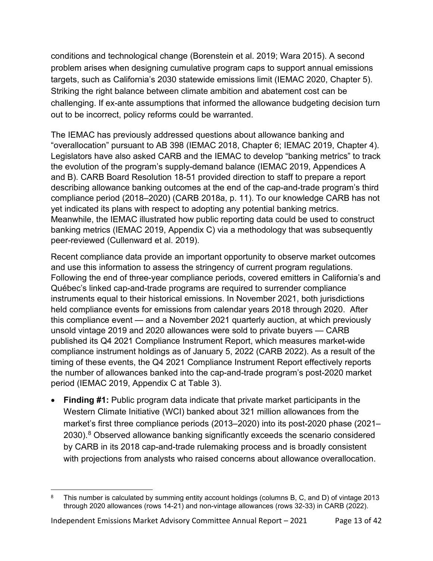conditions and technological change (Borenstein et al. 2019; Wara 2015). A second problem arises when designing cumulative program caps to support annual emissions targets, such as California's 2030 statewide emissions limit (IEMAC 2020, Chapter 5). Striking the right balance between climate ambition and abatement cost can be challenging. If ex-ante assumptions that informed the allowance budgeting decision turn out to be incorrect, policy reforms could be warranted.

The IEMAC has previously addressed questions about allowance banking and "overallocation" pursuant to AB 398 (IEMAC 2018, Chapter 6; IEMAC 2019, Chapter 4). Legislators have also asked CARB and the IEMAC to develop "banking metrics" to track the evolution of the program's supply-demand balance (IEMAC 2019, Appendices A and B). CARB Board Resolution 18-51 provided direction to staff to prepare a report describing allowance banking outcomes at the end of the cap-and-trade program's third compliance period (2018–2020) (CARB 2018a, p. 11). To our knowledge CARB has not yet indicated its plans with respect to adopting any potential banking metrics. Meanwhile, the IEMAC illustrated how public reporting data could be used to construct banking metrics (IEMAC 2019, Appendix C) via a methodology that was subsequently peer-reviewed (Cullenward et al. 2019).

Recent compliance data provide an important opportunity to observe market outcomes and use this information to assess the stringency of current program regulations. Following the end of three-year compliance periods, covered emitters in California's and Québec's linked cap-and-trade programs are required to surrender compliance instruments equal to their historical emissions. In November 2021, both jurisdictions held compliance events for emissions from calendar years 2018 through 2020. After this compliance event — and a November 2021 quarterly auction, at which previously unsold vintage 2019 and 2020 allowances were sold to private buyers — CARB published its Q4 2021 Compliance Instrument Report, which measures market-wide compliance instrument holdings as of January 5, 2022 (CARB 2022). As a result of the timing of these events, the Q4 2021 Compliance Instrument Report effectively reports the number of allowances banked into the cap-and-trade program's post-2020 market period (IEMAC 2019, Appendix C at Table 3).

• **Finding #1:** Public program data indicate that private market participants in the Western Climate Initiative (WCI) banked about 321 million allowances from the market's first three compliance periods (2013–2020) into its post-2020 phase (2021– 2030). [8](#page-12-0) Observed allowance banking significantly exceeds the scenario considered by CARB in its 2018 cap-and-trade rulemaking process and is broadly consistent with projections from analysts who raised concerns about allowance overallocation.

<span id="page-12-0"></span><sup>&</sup>lt;sup>8</sup> This number is calculated by summing entity account holdings (columns B, C, and D) of vintage 2013 through 2020 allowances (rows 14-21) and non-vintage allowances (rows 32-33) in CARB (2022).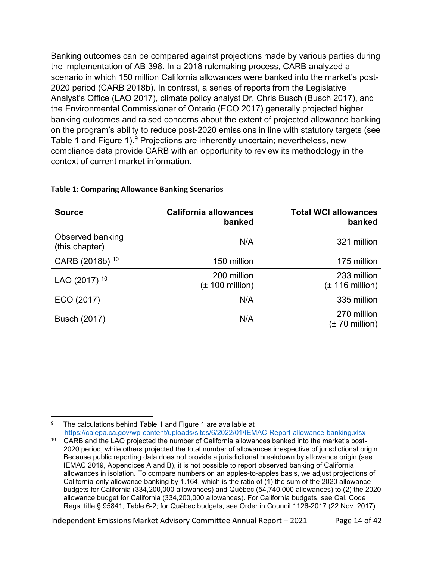Banking outcomes can be compared against projections made by various parties during the implementation of AB 398. In a 2018 rulemaking process, CARB analyzed a scenario in which 150 million California allowances were banked into the market's post-2020 period (CARB 2018b). In contrast, a series of reports from the Legislative Analyst's Office (LAO 2017), climate policy analyst Dr. Chris Busch (Busch 2017), and the Environmental Commissioner of Ontario (ECO 2017) generally projected higher banking outcomes and raised concerns about the extent of projected allowance banking on the program's ability to reduce post-2020 emissions in line with statutory targets (see [Table 1](#page-13-0) and [Figure 1\)](#page-14-0).<sup>[9](#page-13-2)</sup> Projections are inherently uncertain; nevertheless, new compliance data provide CARB with an opportunity to review its methodology in the context of current market information.

<span id="page-13-4"></span><span id="page-13-1"></span>

| <b>Source</b>                      | <b>California allowances</b><br>banked     | <b>Total WCI allowances</b><br>banked      |
|------------------------------------|--------------------------------------------|--------------------------------------------|
| Observed banking<br>(this chapter) | N/A                                        | 321 million                                |
| CARB (2018b) <sup>10</sup>         | 150 million                                | 175 million                                |
| LAO (2017) <sup>10</sup>           | 200 million<br>$(\pm 100 \text{ million})$ | 233 million<br>$(\pm 116 \text{ million})$ |
| ECO (2017)                         | N/A                                        | 335 million                                |
| Busch (2017)                       | N/A                                        | 270 million<br>$(\pm 70 \text{ million})$  |

#### <span id="page-13-0"></span>**Table 1: Comparing Allowance Banking Scenarios**

Independent Emissions Market Advisory Committee Annual Report – 2021 Page 14 of 42

<span id="page-13-2"></span>The calculations behind Table 1 and Figure 1 are available at <https://calepa.ca.gov/wp-content/uploads/sites/6/2022/01/IEMAC-Report-allowance-banking.xlsx>

<span id="page-13-3"></span><sup>&</sup>lt;sup>10</sup> CARB and the LAO projected the number of California allowances banked into the market's post-2020 period, while others projected the total number of allowances irrespective of jurisdictional origin. Because public reporting data does not provide a jurisdictional breakdown by allowance origin (see IEMAC 2019, Appendices A and B), it is not possible to report observed banking of California allowances in isolation. To compare numbers on an apples-to-apples basis, we adjust projections of California-only allowance banking by 1.164, which is the ratio of (1) the sum of the 2020 allowance budgets for California (334,200,000 allowances) and Québec (54,740,000 allowances) to (2) the 2020 allowance budget for California (334,200,000 allowances). For California budgets, see Cal. Code Regs. title § 95841, Table 6-2; for Québec budgets, see Order in Council 1126-2017 (22 Nov. 2017).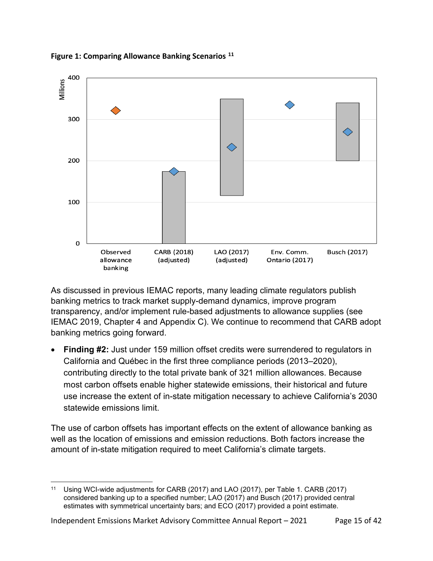

<span id="page-14-0"></span>**Figure 1: Comparing Allowance Banking Scenarios [11](#page-14-1)**

As discussed in previous IEMAC reports, many leading climate regulators publish banking metrics to track market supply-demand dynamics, improve program transparency, and/or implement rule-based adjustments to allowance supplies (see IEMAC 2019, Chapter 4 and Appendix C). We continue to recommend that CARB adopt banking metrics going forward.

**Finding #2:** Just under 159 million offset credits were surrendered to regulators in California and Québec in the first three compliance periods (2013–2020), contributing directly to the total private bank of 321 million allowances. Because most carbon offsets enable higher statewide emissions, their historical and future use increase the extent of in-state mitigation necessary to achieve California's 2030 statewide emissions limit.

The use of carbon offsets has important effects on the extent of allowance banking as well as the location of emissions and emission reductions. Both factors increase the amount of in-state mitigation required to meet California's climate targets.

<span id="page-14-1"></span><sup>11</sup> Using WCI-wide adjustments for CARB (2017) and LAO (2017), per [Table 1.](#page-13-0) CARB (2017) considered banking up to a specified number; LAO (2017) and Busch (2017) provided central estimates with symmetrical uncertainty bars; and ECO (2017) provided a point estimate.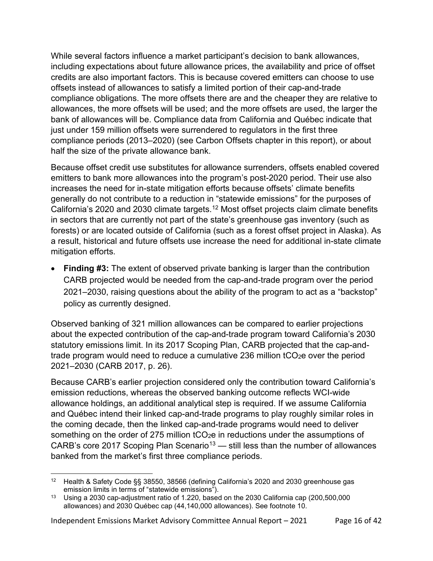While several factors influence a market participant's decision to bank allowances, including expectations about future allowance prices, the availability and price of offset credits are also important factors. This is because covered emitters can choose to use offsets instead of allowances to satisfy a limited portion of their cap-and-trade compliance obligations. The more offsets there are and the cheaper they are relative to allowances, the more offsets will be used; and the more offsets are used, the larger the bank of allowances will be. Compliance data from California and Québec indicate that just under 159 million offsets were surrendered to regulators in the first three compliance periods (2013–2020) (see Carbon Offsets chapter in this report), or about half the size of the private allowance bank.

Because offset credit use substitutes for allowance surrenders, offsets enabled covered emitters to bank more allowances into the program's post-2020 period. Their use also increases the need for in-state mitigation efforts because offsets' climate benefits generally do not contribute to a reduction in "statewide emissions" for the purposes of California's 2020 and 2030 climate targets.[12](#page-15-0) Most offset projects claim climate benefits in sectors that are currently not part of the state's greenhouse gas inventory (such as forests) or are located outside of California (such as a forest offset project in Alaska). As a result, historical and future offsets use increase the need for additional in-state climate mitigation efforts.

• **Finding #3:** The extent of observed private banking is larger than the contribution CARB projected would be needed from the cap-and-trade program over the period 2021–2030, raising questions about the ability of the program to act as a "backstop" policy as currently designed.

Observed banking of 321 million allowances can be compared to earlier projections about the expected contribution of the cap-and-trade program toward California's 2030 statutory emissions limit. In its 2017 Scoping Plan, CARB projected that the cap-andtrade program would need to reduce a cumulative 236 million  $tCO<sub>2</sub>e$  over the period 2021–2030 (CARB 2017, p. 26).

Because CARB's earlier projection considered only the contribution toward California's emission reductions, whereas the observed banking outcome reflects WCI-wide allowance holdings, an additional analytical step is required. If we assume California and Québec intend their linked cap-and-trade programs to play roughly similar roles in the coming decade, then the linked cap-and-trade programs would need to deliver something on the order of 275 million tCO<sub>2</sub>e in reductions under the assumptions of CARB's core 2017 Scoping Plan Scenario<sup>[13](#page-15-1)</sup> — still less than the number of allowances banked from the market's first three compliance periods.

<span id="page-15-0"></span><sup>12</sup> Health & Safety Code §§ 38550, 38566 (defining California's 2020 and 2030 greenhouse gas emission limits in terms of "statewide emissions").

<span id="page-15-1"></span><sup>&</sup>lt;sup>13</sup> Using a 2030 cap-adjustment ratio of 1.220, based on the 2030 California cap (200,500,000 allowances) and 2030 Québec cap (44,140,000 allowances). See footnote [10.](#page-13-4)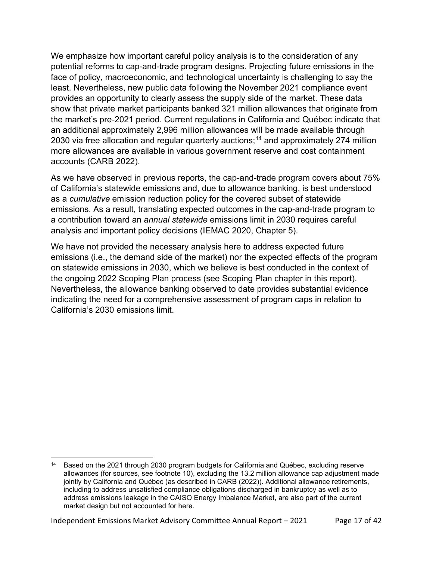We emphasize how important careful policy analysis is to the consideration of any potential reforms to cap-and-trade program designs. Projecting future emissions in the face of policy, macroeconomic, and technological uncertainty is challenging to say the least. Nevertheless, new public data following the November 2021 compliance event provides an opportunity to clearly assess the supply side of the market. These data show that private market participants banked 321 million allowances that originate from the market's pre-2021 period. Current regulations in California and Québec indicate that an additional approximately 2,996 million allowances will be made available through 2030 via free allocation and regular quarterly auctions;<sup>[14](#page-16-0)</sup> and approximately 274 million more allowances are available in various government reserve and cost containment accounts (CARB 2022).

As we have observed in previous reports, the cap-and-trade program covers about 75% of California's statewide emissions and, due to allowance banking, is best understood as a *cumulative* emission reduction policy for the covered subset of statewide emissions. As a result, translating expected outcomes in the cap-and-trade program to a contribution toward an *annual statewide* emissions limit in 2030 requires careful analysis and important policy decisions (IEMAC 2020, Chapter 5).

We have not provided the necessary analysis here to address expected future emissions (i.e., the demand side of the market) nor the expected effects of the program on statewide emissions in 2030, which we believe is best conducted in the context of the ongoing 2022 Scoping Plan process (see Scoping Plan chapter in this report). Nevertheless, the allowance banking observed to date provides substantial evidence indicating the need for a comprehensive assessment of program caps in relation to California's 2030 emissions limit.

<span id="page-16-0"></span><sup>&</sup>lt;sup>14</sup> Based on the 2021 through 2030 program budgets for California and Québec, excluding reserve allowances (for sources, see footnote [10\)](#page-13-4), excluding the 13.2 million allowance cap adjustment made jointly by California and Québec (as described in CARB (2022)). Additional allowance retirements, including to address unsatisfied compliance obligations discharged in bankruptcy as well as to address emissions leakage in the CAISO Energy Imbalance Market, are also part of the current market design but not accounted for here.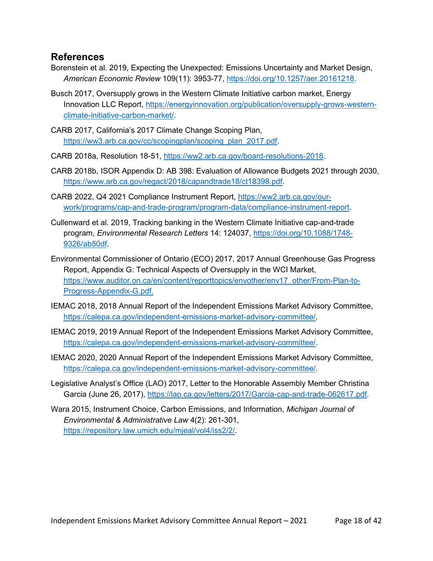#### **References**

- Borenstein et al. 2019, Expecting the Unexpected: Emissions Uncertainty and Market Design, *American Economic Review* 109(11): 3953-77, [https://doi.org/10.1257/aer.20161218.](https://doi.org/10.1257/aer.20161218)
- Busch 2017, Oversupply grows in the Western Climate Initiative carbon market, Energy Innovation LLC Report, [https://energyinnovation.org/publication/oversupply-grows-western](https://energyinnovation.org/publication/oversupply-grows-western-climate-initiative-carbon-market/)[climate-initiative-carbon-market/.](https://energyinnovation.org/publication/oversupply-grows-western-climate-initiative-carbon-market/)
- CARB 2017, California's 2017 Climate Change Scoping Plan, [https://ww3.arb.ca.gov/cc/scopingplan/scoping\\_plan\\_2017.pdf.](https://ww3.arb.ca.gov/cc/scopingplan/scoping_plan_2017.pdf)

CARB 2018a, Resolution 18-51, [https://ww2.arb.ca.gov/board-resolutions-2018.](https://ww2.arb.ca.gov/board-resolutions-2018)

- CARB 2018b, ISOR Appendix D: AB 398: Evaluation of Allowance Budgets 2021 through 2030, [https://www.arb.ca.gov/regact/2018/capandtrade18/ct18398.pdf.](https://www.arb.ca.gov/regact/2018/capandtrade18/ct18398.pdf)
- CARB 2022, Q4 2021 Compliance Instrument Report, [https://ww2.arb.ca.gov/our](https://ww2.arb.ca.gov/our-work/programs/cap-and-trade-program/program-data/compliance-instrument-report)[work/programs/cap-and-trade-program/program-data/compliance-instrument-report.](https://ww2.arb.ca.gov/our-work/programs/cap-and-trade-program/program-data/compliance-instrument-report)
- Cullenward et al. 2019, Tracking banking in the Western Climate Initiative cap-and-trade program, *Environmental Research Letters* 14: 124037, [https://doi.org/10.1088/1748-](https://doi.org/10.1088/1748-9326/ab50df) [9326/ab50df.](https://doi.org/10.1088/1748-9326/ab50df)
- Environmental Commissioner of Ontario (ECO) 2017, 2017 Annual Greenhouse Gas Progress Report, Appendix G: Technical Aspects of Oversupply in the WCI Market, [https://www.auditor.on.ca/en/content/reporttopics/envother/env17\\_other/From-Plan-to-](https://www.auditor.on.ca/en/content/reporttopics/envother/env17_other/From-Plan-to-Progress-Appendix-G.pdf)[Progress-Appendix-G.pdf.](https://www.auditor.on.ca/en/content/reporttopics/envother/env17_other/From-Plan-to-Progress-Appendix-G.pdf)
- IEMAC 2018, 2018 Annual Report of the Independent Emissions Market Advisory Committee, [https://calepa.ca.gov/independent-emissions-market-advisory-committee/.](https://calepa.ca.gov/independent-emissions-market-advisory-committee/)
- IEMAC 2019, 2019 Annual Report of the Independent Emissions Market Advisory Committee, [https://calepa.ca.gov/independent-emissions-market-advisory-committee/.](https://calepa.ca.gov/independent-emissions-market-advisory-committee/)
- IEMAC 2020, 2020 Annual Report of the Independent Emissions Market Advisory Committee, [https://calepa.ca.gov/independent-emissions-market-advisory-committee/.](https://calepa.ca.gov/independent-emissions-market-advisory-committee/)
- Legislative Analyst's Office (LAO) 2017, Letter to the Honorable Assembly Member Christina Garcia (June 26, 2017), [https://lao.ca.gov/letters/2017/Garcia-cap-and-trade-062617.pdf.](https://lao.ca.gov/letters/2017/Garcia-cap-and-trade-062617.pdf)
- Wara 2015, Instrument Choice, Carbon Emissions, and Information, *Michigan Journal of Environmental & Administrative Law* 4(2): 261-301, [https://repository.law.umich.edu/mjeal/vol4/iss2/2/.](https://repository.law.umich.edu/mjeal/vol4/iss2/2/)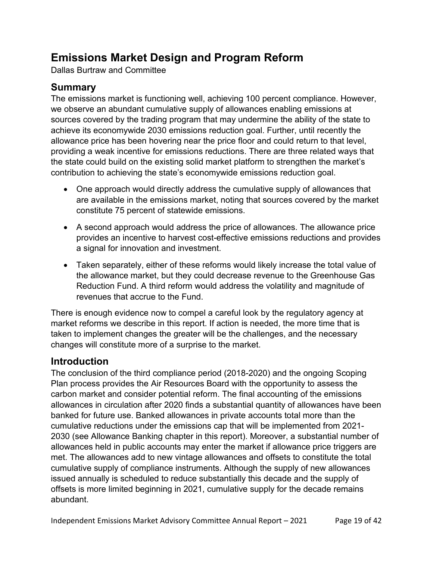# **Emissions Market Design and Program Reform**

Dallas Burtraw and Committee

## **Summary**

The emissions market is functioning well, achieving 100 percent compliance. However, we observe an abundant cumulative supply of allowances enabling emissions at sources covered by the trading program that may undermine the ability of the state to achieve its economywide 2030 emissions reduction goal. Further, until recently the allowance price has been hovering near the price floor and could return to that level, providing a weak incentive for emissions reductions. There are three related ways that the state could build on the existing solid market platform to strengthen the market's contribution to achieving the state's economywide emissions reduction goal.

- One approach would directly address the cumulative supply of allowances that are available in the emissions market, noting that sources covered by the market constitute 75 percent of statewide emissions.
- A second approach would address the price of allowances. The allowance price provides an incentive to harvest cost-effective emissions reductions and provides a signal for innovation and investment.
- Taken separately, either of these reforms would likely increase the total value of the allowance market, but they could decrease revenue to the Greenhouse Gas Reduction Fund. A third reform would address the volatility and magnitude of revenues that accrue to the Fund.

There is enough evidence now to compel a careful look by the regulatory agency at market reforms we describe in this report. If action is needed, the more time that is taken to implement changes the greater will be the challenges, and the necessary changes will constitute more of a surprise to the market.

### **Introduction**

The conclusion of the third compliance period (2018-2020) and the ongoing Scoping Plan process provides the Air Resources Board with the opportunity to assess the carbon market and consider potential reform. The final accounting of the emissions allowances in circulation after 2020 finds a substantial quantity of allowances have been banked for future use. Banked allowances in private accounts total more than the cumulative reductions under the emissions cap that will be implemented from 2021- 2030 (see Allowance Banking chapter in this report). Moreover, a substantial number of allowances held in public accounts may enter the market if allowance price triggers are met. The allowances add to new vintage allowances and offsets to constitute the total cumulative supply of compliance instruments. Although the supply of new allowances issued annually is scheduled to reduce substantially this decade and the supply of offsets is more limited beginning in 2021, cumulative supply for the decade remains abundant.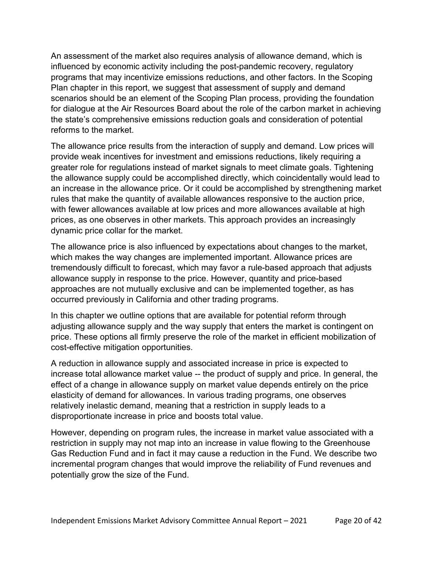An assessment of the market also requires analysis of allowance demand, which is influenced by economic activity including the post-pandemic recovery, regulatory programs that may incentivize emissions reductions, and other factors. In the Scoping Plan chapter in this report, we suggest that assessment of supply and demand scenarios should be an element of the Scoping Plan process, providing the foundation for dialogue at the Air Resources Board about the role of the carbon market in achieving the state's comprehensive emissions reduction goals and consideration of potential reforms to the market.

The allowance price results from the interaction of supply and demand. Low prices will provide weak incentives for investment and emissions reductions, likely requiring a greater role for regulations instead of market signals to meet climate goals. Tightening the allowance supply could be accomplished directly, which coincidentally would lead to an increase in the allowance price. Or it could be accomplished by strengthening market rules that make the quantity of available allowances responsive to the auction price, with fewer allowances available at low prices and more allowances available at high prices, as one observes in other markets. This approach provides an increasingly dynamic price collar for the market.

The allowance price is also influenced by expectations about changes to the market, which makes the way changes are implemented important. Allowance prices are tremendously difficult to forecast, which may favor a rule-based approach that adjusts allowance supply in response to the price. However, quantity and price-based approaches are not mutually exclusive and can be implemented together, as has occurred previously in California and other trading programs.

In this chapter we outline options that are available for potential reform through adjusting allowance supply and the way supply that enters the market is contingent on price. These options all firmly preserve the role of the market in efficient mobilization of cost-effective mitigation opportunities.

A reduction in allowance supply and associated increase in price is expected to increase total allowance market value -- the product of supply and price. In general, the effect of a change in allowance supply on market value depends entirely on the price elasticity of demand for allowances. In various trading programs, one observes relatively inelastic demand, meaning that a restriction in supply leads to a disproportionate increase in price and boosts total value.

However, depending on program rules, the increase in market value associated with a restriction in supply may not map into an increase in value flowing to the Greenhouse Gas Reduction Fund and in fact it may cause a reduction in the Fund. We describe two incremental program changes that would improve the reliability of Fund revenues and potentially grow the size of the Fund.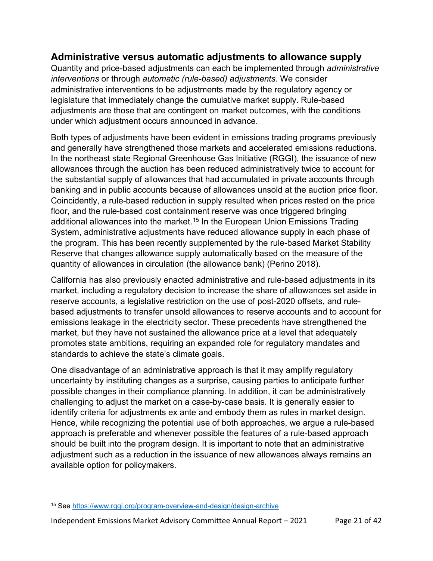### **Administrative versus automatic adjustments to allowance supply**

Quantity and price-based adjustments can each be implemented through *administrative interventions* or through *automatic (rule-based) adjustments.* We consider administrative interventions to be adjustments made by the regulatory agency or legislature that immediately change the cumulative market supply. Rule-based adjustments are those that are contingent on market outcomes, with the conditions under which adjustment occurs announced in advance.

Both types of adjustments have been evident in emissions trading programs previously and generally have strengthened those markets and accelerated emissions reductions. In the northeast state Regional Greenhouse Gas Initiative (RGGI), the issuance of new allowances through the auction has been reduced administratively twice to account for the substantial supply of allowances that had accumulated in private accounts through banking and in public accounts because of allowances unsold at the auction price floor. Coincidently, a rule-based reduction in supply resulted when prices rested on the price floor, and the rule-based cost containment reserve was once triggered bringing additional allowances into the market.<sup>[15](#page-20-0)</sup> In the European Union Emissions Trading System, administrative adjustments have reduced allowance supply in each phase of the program. This has been recently supplemented by the rule-based Market Stability Reserve that changes allowance supply automatically based on the measure of the quantity of allowances in circulation (the allowance bank) (Perino 2018).

California has also previously enacted administrative and rule-based adjustments in its market, including a regulatory decision to increase the share of allowances set aside in reserve accounts, a legislative restriction on the use of post-2020 offsets, and rulebased adjustments to transfer unsold allowances to reserve accounts and to account for emissions leakage in the electricity sector. These precedents have strengthened the market, but they have not sustained the allowance price at a level that adequately promotes state ambitions, requiring an expanded role for regulatory mandates and standards to achieve the state's climate goals.

One disadvantage of an administrative approach is that it may amplify regulatory uncertainty by instituting changes as a surprise, causing parties to anticipate further possible changes in their compliance planning. In addition, it can be administratively challenging to adjust the market on a case-by-case basis. It is generally easier to identify criteria for adjustments ex ante and embody them as rules in market design. Hence, while recognizing the potential use of both approaches, we argue a rule-based approach is preferable and whenever possible the features of a rule-based approach should be built into the program design. It is important to note that an administrative adjustment such as a reduction in the issuance of new allowances always remains an available option for policymakers.

<span id="page-20-0"></span><sup>15</sup> See<https://www.rggi.org/program-overview-and-design/design-archive>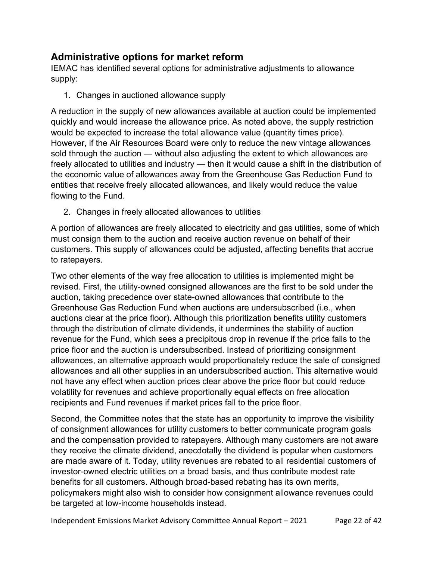### **Administrative options for market reform**

IEMAC has identified several options for administrative adjustments to allowance supply:

1. Changes in auctioned allowance supply

A reduction in the supply of new allowances available at auction could be implemented quickly and would increase the allowance price. As noted above, the supply restriction would be expected to increase the total allowance value (quantity times price). However, if the Air Resources Board were only to reduce the new vintage allowances sold through the auction — without also adjusting the extent to which allowances are freely allocated to utilities and industry — then it would cause a shift in the distribution of the economic value of allowances away from the Greenhouse Gas Reduction Fund to entities that receive freely allocated allowances, and likely would reduce the value flowing to the Fund.

2. Changes in freely allocated allowances to utilities

A portion of allowances are freely allocated to electricity and gas utilities, some of which must consign them to the auction and receive auction revenue on behalf of their customers. This supply of allowances could be adjusted, affecting benefits that accrue to ratepayers.

Two other elements of the way free allocation to utilities is implemented might be revised. First, the utility-owned consigned allowances are the first to be sold under the auction, taking precedence over state-owned allowances that contribute to the Greenhouse Gas Reduction Fund when auctions are undersubscribed (i.e., when auctions clear at the price floor). Although this prioritization benefits utility customers through the distribution of climate dividends, it undermines the stability of auction revenue for the Fund, which sees a precipitous drop in revenue if the price falls to the price floor and the auction is undersubscribed. Instead of prioritizing consignment allowances, an alternative approach would proportionately reduce the sale of consigned allowances and all other supplies in an undersubscribed auction. This alternative would not have any effect when auction prices clear above the price floor but could reduce volatility for revenues and achieve proportionally equal effects on free allocation recipients and Fund revenues if market prices fall to the price floor.

Second, the Committee notes that the state has an opportunity to improve the visibility of consignment allowances for utility customers to better communicate program goals and the compensation provided to ratepayers. Although many customers are not aware they receive the climate dividend, anecdotally the dividend is popular when customers are made aware of it. Today, utility revenues are rebated to all residential customers of investor-owned electric utilities on a broad basis, and thus contribute modest rate benefits for all customers. Although broad-based rebating has its own merits, policymakers might also wish to consider how consignment allowance revenues could be targeted at low-income households instead.

Independent Emissions Market Advisory Committee Annual Report - 2021 Page 22 of 42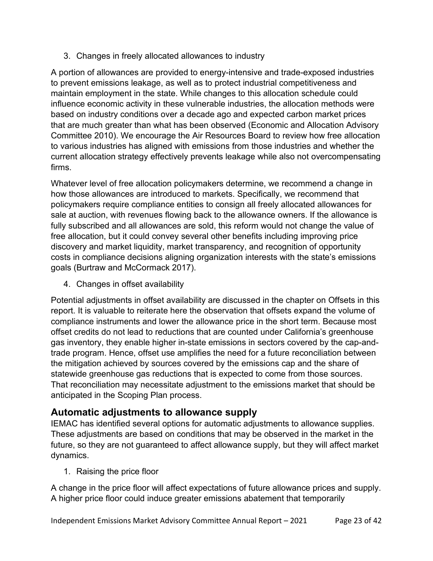3. Changes in freely allocated allowances to industry

A portion of allowances are provided to energy-intensive and trade-exposed industries to prevent emissions leakage, as well as to protect industrial competitiveness and maintain employment in the state. While changes to this allocation schedule could influence economic activity in these vulnerable industries, the allocation methods were based on industry conditions over a decade ago and expected carbon market prices that are much greater than what has been observed (Economic and Allocation Advisory Committee 2010). We encourage the Air Resources Board to review how free allocation to various industries has aligned with emissions from those industries and whether the current allocation strategy effectively prevents leakage while also not overcompensating firms.

Whatever level of free allocation policymakers determine, we recommend a change in how those allowances are introduced to markets. Specifically, we recommend that policymakers require compliance entities to consign all freely allocated allowances for sale at auction, with revenues flowing back to the allowance owners. If the allowance is fully subscribed and all allowances are sold, this reform would not change the value of free allocation, but it could convey several other benefits including improving price discovery and market liquidity, market transparency, and recognition of opportunity costs in compliance decisions aligning organization interests with the state's emissions goals (Burtraw and McCormack 2017).

4. Changes in offset availability

Potential adjustments in offset availability are discussed in the chapter on Offsets in this report. It is valuable to reiterate here the observation that offsets expand the volume of compliance instruments and lower the allowance price in the short term. Because most offset credits do not lead to reductions that are counted under California's greenhouse gas inventory, they enable higher in-state emissions in sectors covered by the cap-andtrade program. Hence, offset use amplifies the need for a future reconciliation between the mitigation achieved by sources covered by the emissions cap and the share of statewide greenhouse gas reductions that is expected to come from those sources. That reconciliation may necessitate adjustment to the emissions market that should be anticipated in the Scoping Plan process.

### **Automatic adjustments to allowance supply**

IEMAC has identified several options for automatic adjustments to allowance supplies. These adjustments are based on conditions that may be observed in the market in the future, so they are not guaranteed to affect allowance supply, but they will affect market dynamics.

1. Raising the price floor

A change in the price floor will affect expectations of future allowance prices and supply. A higher price floor could induce greater emissions abatement that temporarily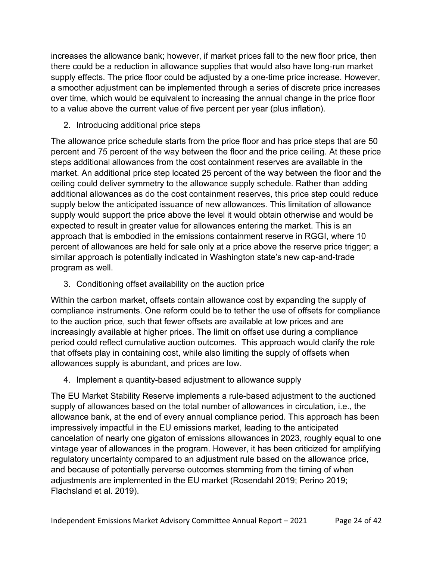increases the allowance bank; however, if market prices fall to the new floor price, then there could be a reduction in allowance supplies that would also have long-run market supply effects. The price floor could be adjusted by a one-time price increase. However, a smoother adjustment can be implemented through a series of discrete price increases over time, which would be equivalent to increasing the annual change in the price floor to a value above the current value of five percent per year (plus inflation).

2. Introducing additional price steps

The allowance price schedule starts from the price floor and has price steps that are 50 percent and 75 percent of the way between the floor and the price ceiling. At these price steps additional allowances from the cost containment reserves are available in the market. An additional price step located 25 percent of the way between the floor and the ceiling could deliver symmetry to the allowance supply schedule. Rather than adding additional allowances as do the cost containment reserves, this price step could reduce supply below the anticipated issuance of new allowances. This limitation of allowance supply would support the price above the level it would obtain otherwise and would be expected to result in greater value for allowances entering the market. This is an approach that is embodied in the emissions containment reserve in RGGI, where 10 percent of allowances are held for sale only at a price above the reserve price trigger; a similar approach is potentially indicated in Washington state's new cap-and-trade program as well.

3. Conditioning offset availability on the auction price

Within the carbon market, offsets contain allowance cost by expanding the supply of compliance instruments. One reform could be to tether the use of offsets for compliance to the auction price, such that fewer offsets are available at low prices and are increasingly available at higher prices. The limit on offset use during a compliance period could reflect cumulative auction outcomes. This approach would clarify the role that offsets play in containing cost, while also limiting the supply of offsets when allowances supply is abundant, and prices are low.

4. Implement a quantity-based adjustment to allowance supply

The EU Market Stability Reserve implements a rule-based adjustment to the auctioned supply of allowances based on the total number of allowances in circulation, i.e., the allowance bank, at the end of every annual compliance period. This approach has been impressively impactful in the EU emissions market, leading to the anticipated cancelation of nearly one gigaton of emissions allowances in 2023, roughly equal to one vintage year of allowances in the program. However, it has been criticized for amplifying regulatory uncertainty compared to an adjustment rule based on the allowance price, and because of potentially perverse outcomes stemming from the timing of when adjustments are implemented in the EU market (Rosendahl 2019; Perino 2019; Flachsland et al. 2019).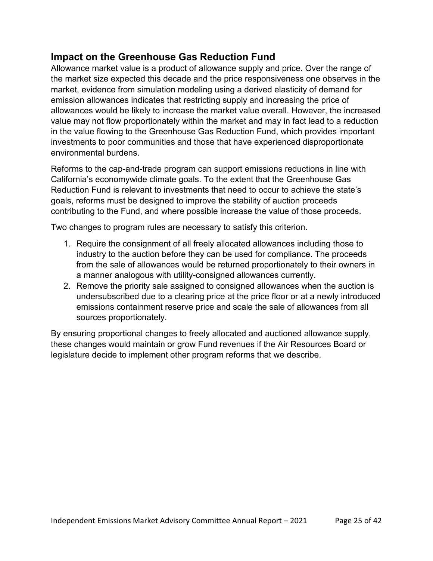### **Impact on the Greenhouse Gas Reduction Fund**

Allowance market value is a product of allowance supply and price. Over the range of the market size expected this decade and the price responsiveness one observes in the market, evidence from simulation modeling using a derived elasticity of demand for emission allowances indicates that restricting supply and increasing the price of allowances would be likely to increase the market value overall. However, the increased value may not flow proportionately within the market and may in fact lead to a reduction in the value flowing to the Greenhouse Gas Reduction Fund, which provides important investments to poor communities and those that have experienced disproportionate environmental burdens.

Reforms to the cap-and-trade program can support emissions reductions in line with California's economywide climate goals. To the extent that the Greenhouse Gas Reduction Fund is relevant to investments that need to occur to achieve the state's goals, reforms must be designed to improve the stability of auction proceeds contributing to the Fund, and where possible increase the value of those proceeds.

Two changes to program rules are necessary to satisfy this criterion.

- 1. Require the consignment of all freely allocated allowances including those to industry to the auction before they can be used for compliance. The proceeds from the sale of allowances would be returned proportionately to their owners in a manner analogous with utility-consigned allowances currently.
- 2. Remove the priority sale assigned to consigned allowances when the auction is undersubscribed due to a clearing price at the price floor or at a newly introduced emissions containment reserve price and scale the sale of allowances from all sources proportionately.

By ensuring proportional changes to freely allocated and auctioned allowance supply, these changes would maintain or grow Fund revenues if the Air Resources Board or legislature decide to implement other program reforms that we describe.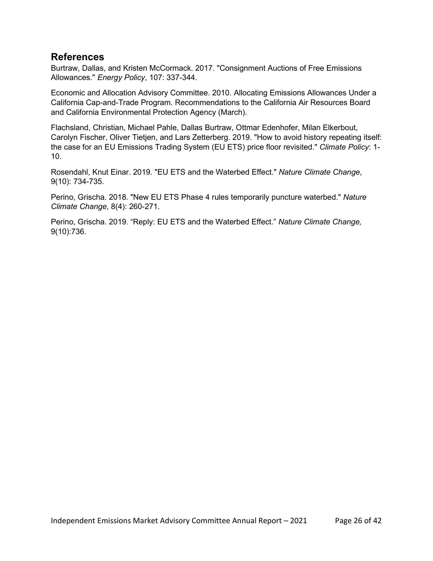#### **References**

Burtraw, Dallas, and Kristen McCormack. 2017. "Consignment Auctions of Free Emissions Allowances." *Energy Policy*, 107: 337-344.

Economic and Allocation Advisory Committee. 2010. Allocating Emissions Allowances Under a California Cap-and-Trade Program. Recommendations to the California Air Resources Board and California Environmental Protection Agency (March).

Flachsland, Christian, Michael Pahle, Dallas Burtraw, Ottmar Edenhofer, Milan Elkerbout, Carolyn Fischer, Oliver Tietjen, and Lars Zetterberg. 2019. "How to avoid history repeating itself: the case for an EU Emissions Trading System (EU ETS) price floor revisited." *Climate Policy*: 1- 10.

Rosendahl, Knut Einar. 2019. "EU ETS and the Waterbed Effect." *Nature Climate Change*, 9(10): 734-735.

Perino, Grischa. 2018. "New EU ETS Phase 4 rules temporarily puncture waterbed." *Nature Climate Change*, 8(4): 260-271.

Perino, Grischa. 2019. "Reply: EU ETS and the Waterbed Effect." *Nature Climate Change,* 9(10):736.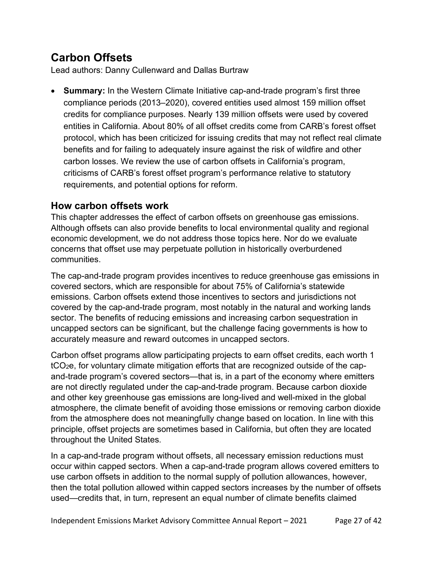# **Carbon Offsets**

Lead authors: Danny Cullenward and Dallas Burtraw

• **Summary:** In the Western Climate Initiative cap-and-trade program's first three compliance periods (2013–2020), covered entities used almost 159 million offset credits for compliance purposes. Nearly 139 million offsets were used by covered entities in California. About 80% of all offset credits come from CARB's forest offset protocol, which has been criticized for issuing credits that may not reflect real climate benefits and for failing to adequately insure against the risk of wildfire and other carbon losses. We review the use of carbon offsets in California's program, criticisms of CARB's forest offset program's performance relative to statutory requirements, and potential options for reform.

### **How carbon offsets work**

This chapter addresses the effect of carbon offsets on greenhouse gas emissions. Although offsets can also provide benefits to local environmental quality and regional economic development, we do not address those topics here. Nor do we evaluate concerns that offset use may perpetuate pollution in historically overburdened communities.

The cap-and-trade program provides incentives to reduce greenhouse gas emissions in covered sectors, which are responsible for about 75% of California's statewide emissions. Carbon offsets extend those incentives to sectors and jurisdictions not covered by the cap-and-trade program, most notably in the natural and working lands sector. The benefits of reducing emissions and increasing carbon sequestration in uncapped sectors can be significant, but the challenge facing governments is how to accurately measure and reward outcomes in uncapped sectors.

Carbon offset programs allow participating projects to earn offset credits, each worth 1 tCO2e, for voluntary climate mitigation efforts that are recognized outside of the capand-trade program's covered sectors—that is, in a part of the economy where emitters are not directly regulated under the cap-and-trade program. Because carbon dioxide and other key greenhouse gas emissions are long-lived and well-mixed in the global atmosphere, the climate benefit of avoiding those emissions or removing carbon dioxide from the atmosphere does not meaningfully change based on location. In line with this principle, offset projects are sometimes based in California, but often they are located throughout the United States.

In a cap-and-trade program without offsets, all necessary emission reductions must occur within capped sectors. When a cap-and-trade program allows covered emitters to use carbon offsets in addition to the normal supply of pollution allowances, however, then the total pollution allowed within capped sectors increases by the number of offsets used—credits that, in turn, represent an equal number of climate benefits claimed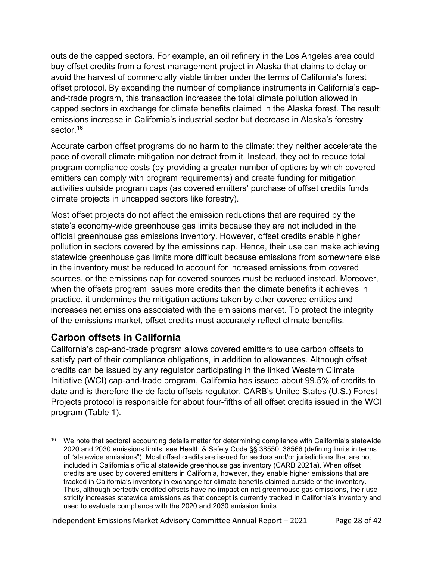outside the capped sectors. For example, an oil refinery in the Los Angeles area could buy offset credits from a forest management project in Alaska that claims to delay or avoid the harvest of commercially viable timber under the terms of California's forest offset protocol. By expanding the number of compliance instruments in California's capand-trade program, this transaction increases the total climate pollution allowed in capped sectors in exchange for climate benefits claimed in the Alaska forest. The result: emissions increase in California's industrial sector but decrease in Alaska's forestry sector.<sup>16</sup>

Accurate carbon offset programs do no harm to the climate: they neither accelerate the pace of overall climate mitigation nor detract from it. Instead, they act to reduce total program compliance costs (by providing a greater number of options by which covered emitters can comply with program requirements) and create funding for mitigation activities outside program caps (as covered emitters' purchase of offset credits funds climate projects in uncapped sectors like forestry).

Most offset projects do not affect the emission reductions that are required by the state's economy-wide greenhouse gas limits because they are not included in the official greenhouse gas emissions inventory. However, offset credits enable higher pollution in sectors covered by the emissions cap. Hence, their use can make achieving statewide greenhouse gas limits more difficult because emissions from somewhere else in the inventory must be reduced to account for increased emissions from covered sources, or the emissions cap for covered sources must be reduced instead. Moreover, when the offsets program issues more credits than the climate benefits it achieves in practice, it undermines the mitigation actions taken by other covered entities and increases net emissions associated with the emissions market. To protect the integrity of the emissions market, offset credits must accurately reflect climate benefits.

### **Carbon offsets in California**

California's cap-and-trade program allows covered emitters to use carbon offsets to satisfy part of their compliance obligations, in addition to allowances. Although offset credits can be issued by any regulator participating in the linked Western Climate Initiative (WCI) cap-and-trade program, California has issued about 99.5% of credits to date and is therefore the de facto offsets regulator. CARB's United States (U.S.) Forest Projects protocol is responsible for about four-fifths of all offset credits issued in the WCI program [\(Table](#page-28-0) 1).

Independent Emissions Market Advisory Committee Annual Report – 2021 Page 28 of 42

<span id="page-27-0"></span><sup>&</sup>lt;sup>16</sup> We note that sectoral accounting details matter for determining compliance with California's statewide 2020 and 2030 emissions limits; see Health & Safety Code §§ 38550, 38566 (defining limits in terms of "statewide emissions"). Most offset credits are issued for sectors and/or jurisdictions that are not included in California's official statewide greenhouse gas inventory (CARB 2021a). When offset credits are used by covered emitters in California, however, they enable higher emissions that are tracked in California's inventory in exchange for climate benefits claimed outside of the inventory. Thus, although perfectly credited offsets have no impact on net greenhouse gas emissions, their use strictly increases statewide emissions as that concept is currently tracked in California's inventory and used to evaluate compliance with the 2020 and 2030 emission limits.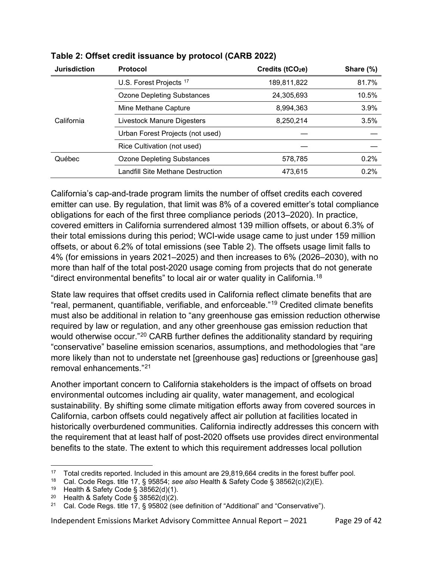| <b>Jurisdiction</b> | <b>Protocol</b>                   | Credits ( $tCO2e$ ) | Share (%) |
|---------------------|-----------------------------------|---------------------|-----------|
|                     | U.S. Forest Projects 17           | 189,811,822         | 81.7%     |
|                     | <b>Ozone Depleting Substances</b> | 24,305,693          | 10.5%     |
|                     | Mine Methane Capture              | 8,994,363           | 3.9%      |
| California          | Livestock Manure Digesters        | 8,250,214           | 3.5%      |
|                     | Urban Forest Projects (not used)  |                     |           |
|                     | Rice Cultivation (not used)       |                     |           |
| Québec              | <b>Ozone Depleting Substances</b> | 578,785             | 0.2%      |
|                     | Landfill Site Methane Destruction | 473,615             | 0.2%      |
|                     |                                   |                     |           |

#### <span id="page-28-0"></span>**Table 2: Offset credit issuance by protocol (CARB 2022)**

California's cap-and-trade program limits the number of offset credits each covered emitter can use. By regulation, that limit was 8% of a covered emitter's total compliance obligations for each of the first three compliance periods (2013–2020). In practice, covered emitters in California surrendered almost 139 million offsets, or about 6.3% of their total emissions during this period; WCI-wide usage came to just under 159 million offsets, or about 6.2% of total emissions (see [Table 2\)](#page-29-0). The offsets usage limit falls to 4% (for emissions in years 2021–2025) and then increases to 6% (2026–2030), with no more than half of the total post-2020 usage coming from projects that do not generate "direct environmental benefits" to local air or water quality in California.[18](#page-28-2)

State law requires that offset credits used in California reflect climate benefits that are "real, permanent, quantifiable, verifiable, and enforceable."[19](#page-28-3) Credited climate benefits must also be additional in relation to "any greenhouse gas emission reduction otherwise required by law or regulation, and any other greenhouse gas emission reduction that would otherwise occur."<sup>[20](#page-28-4)</sup> CARB further defines the additionality standard by requiring "conservative" baseline emission scenarios, assumptions, and methodologies that "are more likely than not to understate net [greenhouse gas] reductions or [greenhouse gas] removal enhancements."[21](#page-28-5)

Another important concern to California stakeholders is the impact of offsets on broad environmental outcomes including air quality, water management, and ecological sustainability. By shifting some climate mitigation efforts away from covered sources in California, carbon offsets could negatively affect air pollution at facilities located in historically overburdened communities. California indirectly addresses this concern with the requirement that at least half of post-2020 offsets use provides direct environmental benefits to the state. The extent to which this requirement addresses local pollution

Independent Emissions Market Advisory Committee Annual Report – 2021 Page 29 of 42

<span id="page-28-1"></span><sup>17</sup> Total credits reported. Included in this amount are 29,819,664 credits in the forest buffer pool.

<span id="page-28-2"></span><sup>18</sup> Cal. Code Regs. title 17, § 95854; *see also* Health & Safety Code § 38562(c)(2)(E).

<span id="page-28-3"></span><sup>19</sup> Health & Safety Code § 38562(d)(1).

<span id="page-28-5"></span><span id="page-28-4"></span><sup>&</sup>lt;sup>20</sup> Health & Safety Code § 38562(d)(2).<br><sup>21</sup> Cal Code Regs, title 17, § 95802 (se

<sup>21</sup> Cal. Code Regs. title 17, § 95802 (see definition of "Additional" and "Conservative").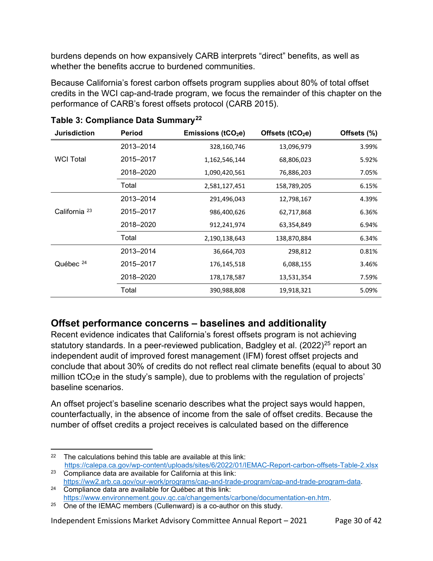burdens depends on how expansively CARB interprets "direct" benefits, as well as whether the benefits accrue to burdened communities.

Because California's forest carbon offsets program supplies about 80% of total offset credits in the WCI cap-and-trade program, we focus the remainder of this chapter on the performance of CARB's forest offsets protocol (CARB 2015).

| <b>Jurisdiction</b>      | <b>Period</b> | Emissions ( $tCO2e$ ) | Offsets $(tCO2e)$ | Offsets (%) |
|--------------------------|---------------|-----------------------|-------------------|-------------|
|                          | 2013-2014     | 328,160,746           | 13,096,979        | 3.99%       |
| <b>WCI Total</b>         | 2015-2017     | 1,162,546,144         | 68,806,023        | 5.92%       |
|                          | 2018-2020     | 1,090,420,561         | 76,886,203        | 7.05%       |
|                          | Total         | 2,581,127,451         | 158,789,205       | 6.15%       |
| California <sup>23</sup> | 2013-2014     | 291,496,043           | 12,798,167        | 4.39%       |
|                          | 2015-2017     | 986,400,626           | 62,717,868        | 6.36%       |
|                          | 2018-2020     | 912,241,974           | 63,354,849        | 6.94%       |
|                          | Total         | 2,190,138,643         | 138,870,884       | 6.34%       |
| Québec $24$              | 2013-2014     | 36,664,703            | 298,812           | 0.81%       |
|                          | 2015-2017     | 176,145,518           | 6,088,155         | 3.46%       |
|                          | 2018-2020     | 178,178,587           | 13,531,354        | 7.59%       |
|                          | Total         | 390,988,808           | 19,918,321        | 5.09%       |

<span id="page-29-0"></span>**Table 3: Compliance Data Summary[22](#page-29-1)**

### **Offset performance concerns – baselines and additionality**

Recent evidence indicates that California's forest offsets program is not achieving statutory standards. In a peer-reviewed publication, Badgley et al.  $(2022)^{25}$  $(2022)^{25}$  $(2022)^{25}$  report an independent audit of improved forest management (IFM) forest offset projects and conclude that about 30% of credits do not reflect real climate benefits (equal to about 30 million tCO<sub>2</sub>e in the study's sample), due to problems with the regulation of projects' baseline scenarios.

An offset project's baseline scenario describes what the project says would happen, counterfactually, in the absence of income from the sale of offset credits. Because the number of offset credits a project receives is calculated based on the difference

Independent Emissions Market Advisory Committee Annual Report – 2021 Page 30 of 42

<span id="page-29-1"></span> $22$  The calculations behind this table are available at this link: <https://calepa.ca.gov/wp-content/uploads/sites/6/2022/01/IEMAC-Report-carbon-offsets-Table-2.xlsx>

<span id="page-29-2"></span><sup>23</sup> Compliance data are available for California at this link:

<span id="page-29-3"></span>[https://ww2.arb.ca.gov/our-work/programs/cap-and-trade-program/cap-and-trade-program-data.](https://ww2.arb.ca.gov/our-work/programs/cap-and-trade-program/cap-and-trade-program-data)<br>
24 Compliance data are available for Québec at this link:<br>
https://www.environnement.gouv.gc.ca/changements/carbone/documentation-

<span id="page-29-4"></span> $25$  One of the IEMAC members (Cullenward) is a co-author on this study.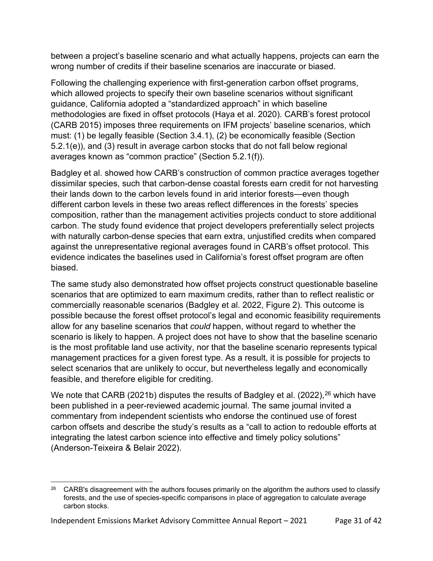between a project's baseline scenario and what actually happens, projects can earn the wrong number of credits if their baseline scenarios are inaccurate or biased.

Following the challenging experience with first-generation carbon offset programs, which allowed projects to specify their own baseline scenarios without significant guidance, California adopted a "standardized approach" in which baseline methodologies are fixed in offset protocols (Haya et al. 2020). CARB's forest protocol (CARB 2015) imposes three requirements on IFM projects' baseline scenarios, which must: (1) be legally feasible (Section 3.4.1), (2) be economically feasible (Section 5.2.1(e)), and (3) result in average carbon stocks that do not fall below regional averages known as "common practice" (Section 5.2.1(f)).

Badgley et al. showed how CARB's construction of common practice averages together dissimilar species, such that carbon-dense coastal forests earn credit for not harvesting their lands down to the carbon levels found in arid interior forests—even though different carbon levels in these two areas reflect differences in the forests' species composition, rather than the management activities projects conduct to store additional carbon. The study found evidence that project developers preferentially select projects with naturally carbon-dense species that earn extra, unjustified credits when compared against the unrepresentative regional averages found in CARB's offset protocol. This evidence indicates the baselines used in California's forest offset program are often biased.

The same study also demonstrated how offset projects construct questionable baseline scenarios that are optimized to earn maximum credits, rather than to reflect realistic or commercially reasonable scenarios (Badgley et al. 2022, Figure 2). This outcome is possible because the forest offset protocol's legal and economic feasibility requirements allow for any baseline scenarios that *could* happen, without regard to whether the scenario is likely to happen. A project does not have to show that the baseline scenario is the most profitable land use activity, nor that the baseline scenario represents typical management practices for a given forest type. As a result, it is possible for projects to select scenarios that are unlikely to occur, but nevertheless legally and economically feasible, and therefore eligible for crediting.

We note that CARB (2021b) disputes the results of Badgley et al. (2022),  $26$  which have been published in a peer-reviewed academic journal. The same journal invited a commentary from independent scientists who endorse the continued use of forest carbon offsets and describe the study's results as a "call to action to redouble efforts at integrating the latest carbon science into effective and timely policy solutions" (Anderson-Teixeira & Belair 2022).

<span id="page-30-0"></span> $26$  CARB's disagreement with the authors focuses primarily on the algorithm the authors used to classify forests, and the use of species-specific comparisons in place of aggregation to calculate average carbon stocks.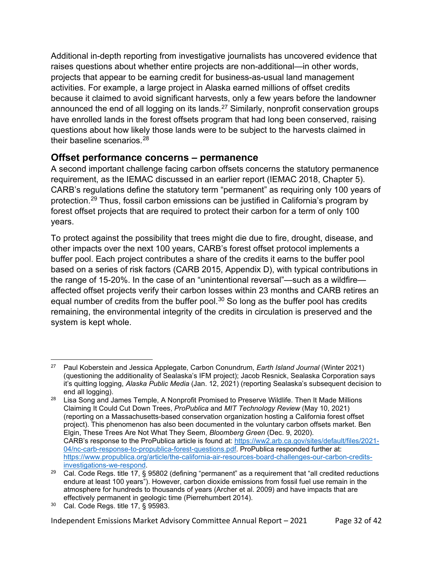Additional in-depth reporting from investigative journalists has uncovered evidence that raises questions about whether entire projects are non-additional—in other words, projects that appear to be earning credit for business-as-usual land management activities. For example, a large project in Alaska earned millions of offset credits because it claimed to avoid significant harvests, only a few years before the landowner announced the end of all logging on its lands.<sup>[27](#page-31-0)</sup> Similarly, nonprofit conservation groups have enrolled lands in the forest offsets program that had long been conserved, raising questions about how likely those lands were to be subject to the harvests claimed in their baseline scenarios.[28](#page-31-1)

### **Offset performance concerns – permanence**

A second important challenge facing carbon offsets concerns the statutory permanence requirement, as the IEMAC discussed in an earlier report (IEMAC 2018, Chapter 5). CARB's regulations define the statutory term "permanent" as requiring only 100 years of protection.[29](#page-31-2) Thus, fossil carbon emissions can be justified in California's program by forest offset projects that are required to protect their carbon for a term of only 100 years.

To protect against the possibility that trees might die due to fire, drought, disease, and other impacts over the next 100 years, CARB's forest offset protocol implements a buffer pool. Each project contributes a share of the credits it earns to the buffer pool based on a series of risk factors (CARB 2015, Appendix D), with typical contributions in the range of 15-20%. In the case of an "unintentional reversal"—such as a wildfire affected offset projects verify their carbon losses within 23 months and CARB retires an equal number of credits from the buffer pool. $30$  So long as the buffer pool has credits remaining, the environmental integrity of the credits in circulation is preserved and the system is kept whole.

<span id="page-31-0"></span><sup>27</sup> Paul Koberstein and Jessica Applegate, Carbon Conundrum, *Earth Island Journal* (Winter 2021) (questioning the additionality of Sealaska's IFM project); Jacob Resnick, Sealaska Corporation says it's quitting logging, *Alaska Public Media* (Jan. 12, 2021) (reporting Sealaska's subsequent decision to end all logging).

<span id="page-31-1"></span><sup>28</sup> Lisa Song and James Temple, A Nonprofit Promised to Preserve Wildlife. Then It Made Millions Claiming It Could Cut Down Trees, *ProPublica* and *MIT Technology Review* (May 10, 2021) (reporting on a Massachusetts-based conservation organization hosting a California forest offset project). This phenomenon has also been documented in the voluntary carbon offsets market. Ben Elgin, These Trees Are Not What They Seem, *Bloomberg Green* (Dec. 9, 2020). CARB's response to the ProPublica article is found at: [https://ww2.arb.ca.gov/sites/default/files/2021-](https://ww2.arb.ca.gov/sites/default/files/2021-04/nc-carb-response-to-propublica-forest-questions.pdf) [04/nc-carb-response-to-propublica-forest-questions.pdf.](https://ww2.arb.ca.gov/sites/default/files/2021-04/nc-carb-response-to-propublica-forest-questions.pdf) ProPublica responded further at: [https://www.propublica.org/article/the-california-air-resources-board-challenges-our-carbon-credits](https://www.propublica.org/article/the-california-air-resources-board-challenges-our-carbon-credits-investigations-we-respond)[investigations-we-respond.](https://www.propublica.org/article/the-california-air-resources-board-challenges-our-carbon-credits-investigations-we-respond)

<span id="page-31-2"></span><sup>&</sup>lt;sup>29</sup> Cal. Code Regs. title 17,  $\S$  95802 (defining "permanent" as a requirement that "all credited reductions endure at least 100 years"). However, carbon dioxide emissions from fossil fuel use remain in the atmosphere for hundreds to thousands of years (Archer et al. 2009) and have impacts that are effectively permanent in geologic time (Pierrehumbert 2014).

<span id="page-31-3"></span><sup>30</sup> Cal. Code Regs. title 17, § 95983.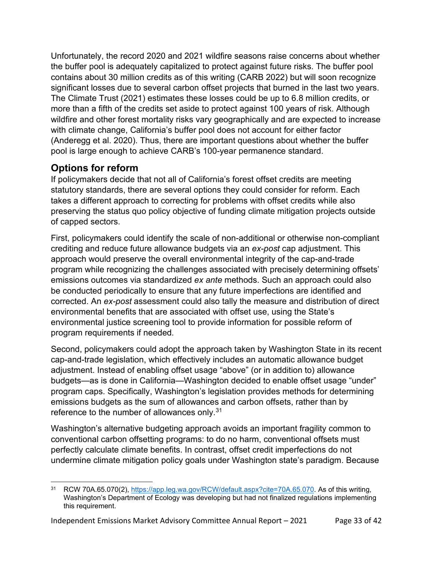Unfortunately, the record 2020 and 2021 wildfire seasons raise concerns about whether the buffer pool is adequately capitalized to protect against future risks. The buffer pool contains about 30 million credits as of this writing (CARB 2022) but will soon recognize significant losses due to several carbon offset projects that burned in the last two years. The Climate Trust (2021) estimates these losses could be up to 6.8 million credits, or more than a fifth of the credits set aside to protect against 100 years of risk. Although wildfire and other forest mortality risks vary geographically and are expected to increase with climate change, California's buffer pool does not account for either factor (Anderegg et al. 2020). Thus, there are important questions about whether the buffer pool is large enough to achieve CARB's 100-year permanence standard.

## **Options for reform**

If policymakers decide that not all of California's forest offset credits are meeting statutory standards, there are several options they could consider for reform. Each takes a different approach to correcting for problems with offset credits while also preserving the status quo policy objective of funding climate mitigation projects outside of capped sectors.

First, policymakers could identify the scale of non-additional or otherwise non-compliant crediting and reduce future allowance budgets via an *ex-post* cap adjustment. This approach would preserve the overall environmental integrity of the cap-and-trade program while recognizing the challenges associated with precisely determining offsets' emissions outcomes via standardized *ex ante* methods. Such an approach could also be conducted periodically to ensure that any future imperfections are identified and corrected. An *ex-post* assessment could also tally the measure and distribution of direct environmental benefits that are associated with offset use, using the State's environmental justice screening tool to provide information for possible reform of program requirements if needed.

Second, policymakers could adopt the approach taken by Washington State in its recent cap-and-trade legislation, which effectively includes an automatic allowance budget adjustment. Instead of enabling offset usage "above" (or in addition to) allowance budgets—as is done in California—Washington decided to enable offset usage "under" program caps. Specifically, Washington's legislation provides methods for determining emissions budgets as the sum of allowances and carbon offsets, rather than by reference to the number of allowances only.<sup>[31](#page-32-0)</sup>

Washington's alternative budgeting approach avoids an important fragility common to conventional carbon offsetting programs: to do no harm, conventional offsets must perfectly calculate climate benefits. In contrast, offset credit imperfections do not undermine climate mitigation policy goals under Washington state's paradigm. Because

<span id="page-32-0"></span><sup>31</sup> RCW 70A.65.070(2), [https://app.leg.wa.gov/RCW/default.aspx?cite=70A.65.070.](https://app.leg.wa.gov/RCW/default.aspx?cite=70A.65.070) As of this writing, Washington's Department of Ecology was developing but had not finalized regulations implementing this requirement.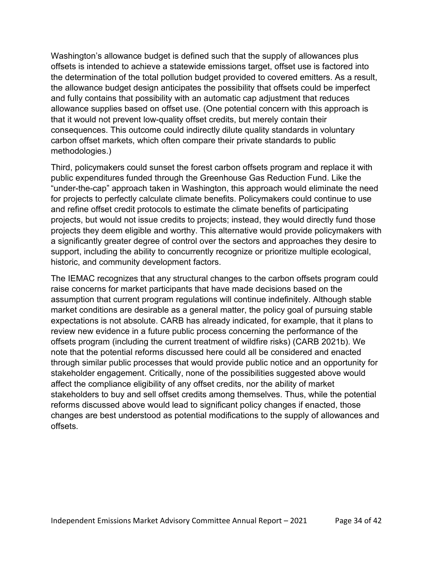Washington's allowance budget is defined such that the supply of allowances plus offsets is intended to achieve a statewide emissions target, offset use is factored into the determination of the total pollution budget provided to covered emitters. As a result, the allowance budget design anticipates the possibility that offsets could be imperfect and fully contains that possibility with an automatic cap adjustment that reduces allowance supplies based on offset use. (One potential concern with this approach is that it would not prevent low-quality offset credits, but merely contain their consequences. This outcome could indirectly dilute quality standards in voluntary carbon offset markets, which often compare their private standards to public methodologies.)

Third, policymakers could sunset the forest carbon offsets program and replace it with public expenditures funded through the Greenhouse Gas Reduction Fund. Like the "under-the-cap" approach taken in Washington, this approach would eliminate the need for projects to perfectly calculate climate benefits. Policymakers could continue to use and refine offset credit protocols to estimate the climate benefits of participating projects, but would not issue credits to projects; instead, they would directly fund those projects they deem eligible and worthy. This alternative would provide policymakers with a significantly greater degree of control over the sectors and approaches they desire to support, including the ability to concurrently recognize or prioritize multiple ecological, historic, and community development factors.

The IEMAC recognizes that any structural changes to the carbon offsets program could raise concerns for market participants that have made decisions based on the assumption that current program regulations will continue indefinitely. Although stable market conditions are desirable as a general matter, the policy goal of pursuing stable expectations is not absolute. CARB has already indicated, for example, that it plans to review new evidence in a future public process concerning the performance of the offsets program (including the current treatment of wildfire risks) (CARB 2021b). We note that the potential reforms discussed here could all be considered and enacted through similar public processes that would provide public notice and an opportunity for stakeholder engagement. Critically, none of the possibilities suggested above would affect the compliance eligibility of any offset credits, nor the ability of market stakeholders to buy and sell offset credits among themselves. Thus, while the potential reforms discussed above would lead to significant policy changes if enacted, those changes are best understood as potential modifications to the supply of allowances and offsets.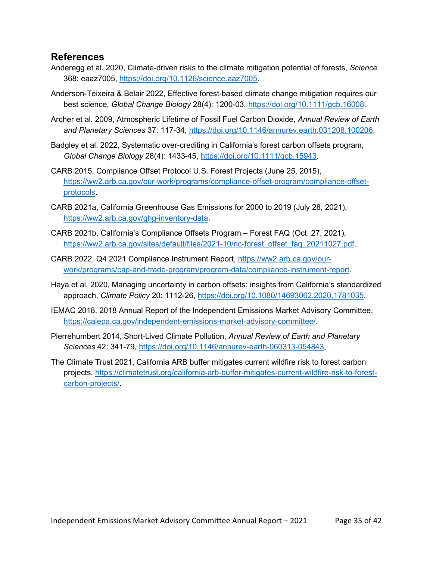#### **References**

- Anderegg et al. 2020, Climate-driven risks to the climate mitigation potential of forests, *Science* 368: eaaz7005, [https://doi.org/10.1126/science.aaz7005.](https://doi.org/10.1126/science.aaz7005)
- Anderson-Teixeira & Belair 2022, Effective forest-based climate change mitigation requires our best science, *Global Change Biology* 28(4): 1200-03, [https://doi.org/10.1111/gcb.16008.](https://doi.org/10.1111/gcb.16008)
- Archer et al. 2009, Atmospheric Lifetime of Fossil Fuel Carbon Dioxide, *Annual Review of Earth and Planetary Sciences* 37: 117-34, [https://doi.org/10.1146/annurev.earth.031208.100206.](https://doi.org/10.1146/annurev.earth.031208.100206)
- Badgley et al. 2022, Systematic over-crediting in California's forest carbon offsets program, *Global Change Biology* 28(4): 1433-45, [https://doi.org/10.1111/gcb.15943.](https://doi.org/10.1111/gcb.15943)
- CARB 2015, Compliance Offset Protocol U.S. Forest Projects (June 25, 2015), [https://ww2.arb.ca.gov/our-work/programs/compliance-offset-program/compliance-offset](https://ww2.arb.ca.gov/our-work/programs/compliance-offset-program/compliance-offset-protocols)[protocols.](https://ww2.arb.ca.gov/our-work/programs/compliance-offset-program/compliance-offset-protocols)
- CARB 2021a, California Greenhouse Gas Emissions for 2000 to 2019 (July 28, 2021), [https://ww2.arb.ca.gov/ghg-inventory-data.](https://ww2.arb.ca.gov/ghg-inventory-data)
- CARB 2021b, California's Compliance Offsets Program Forest FAQ (Oct. 27, 2021), [https://ww2.arb.ca.gov/sites/default/files/2021-10/nc-forest\\_offset\\_faq\\_20211027.pdf.](https://ww2.arb.ca.gov/sites/default/files/2021-10/nc-forest_offset_faq_20211027.pdf)
- CARB 2022, Q4 2021 Compliance Instrument Report, [https://ww2.arb.ca.gov/our](https://ww2.arb.ca.gov/our-work/programs/cap-and-trade-program/program-data/compliance-instrument-report)[work/programs/cap-and-trade-program/program-data/compliance-instrument-report.](https://ww2.arb.ca.gov/our-work/programs/cap-and-trade-program/program-data/compliance-instrument-report)
- Haya et al. 2020, Managing uncertainty in carbon offsets: insights from California's standardized approach, *Climate Policy* 20: 1112-26, [https://doi.org/10.1080/14693062.2020.1781035.](https://doi.org/10.1080/14693062.2020.1781035)
- IEMAC 2018, 2018 Annual Report of the Independent Emissions Market Advisory Committee, [https://calepa.ca.gov/independent-emissions-market-advisory-committee/.](https://calepa.ca.gov/independent-emissions-market-advisory-committee/)
- Pierrehumbert 2014, Short-Lived Climate Pollution, *Annual Review of Earth and Planetary Sciences* 42: 341-79, [https://doi.org/10.1146/annurev-earth-060313-054843.](https://doi.org/10.1146/annurev-earth-060313-054843)
- The Climate Trust 2021, California ARB buffer mitigates current wildfire risk to forest carbon projects, [https://climatetrust.org/california-arb-buffer-mitigates-current-wildfire-risk-to-forest](https://climatetrust.org/california-arb-buffer-mitigates-current-wildfire-risk-to-forest-carbon-projects/)[carbon-projects/.](https://climatetrust.org/california-arb-buffer-mitigates-current-wildfire-risk-to-forest-carbon-projects/)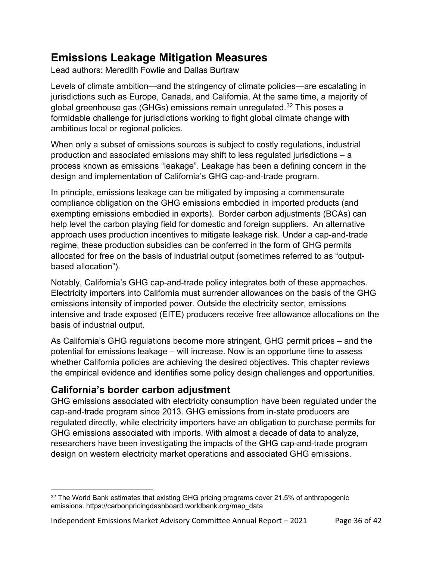# **Emissions Leakage Mitigation Measures**

Lead authors: Meredith Fowlie and Dallas Burtraw

Levels of climate ambition—and the stringency of climate policies—are escalating in jurisdictions such as Europe, Canada, and California. At the same time, a majority of global greenhouse gas (GHGs) emissions remain unregulated.<sup>[32](#page-35-0)</sup> This poses a formidable challenge for jurisdictions working to fight global climate change with ambitious local or regional policies.

When only a subset of emissions sources is subject to costly regulations, industrial production and associated emissions may shift to less regulated jurisdictions – a process known as emissions "leakage". Leakage has been a defining concern in the design and implementation of California's GHG cap-and-trade program.

In principle, emissions leakage can be mitigated by imposing a commensurate compliance obligation on the GHG emissions embodied in imported products (and exempting emissions embodied in exports). Border carbon adjustments (BCAs) can help level the carbon playing field for domestic and foreign suppliers. An alternative approach uses production incentives to mitigate leakage risk. Under a cap-and-trade regime, these production subsidies can be conferred in the form of GHG permits allocated for free on the basis of industrial output (sometimes referred to as "outputbased allocation").

Notably, California's GHG cap-and-trade policy integrates both of these approaches. Electricity importers into California must surrender allowances on the basis of the GHG emissions intensity of imported power. Outside the electricity sector, emissions intensive and trade exposed (EITE) producers receive free allowance allocations on the basis of industrial output.

As California's GHG regulations become more stringent, GHG permit prices – and the potential for emissions leakage – will increase. Now is an opportune time to assess whether California policies are achieving the desired objectives. This chapter reviews the empirical evidence and identifies some policy design challenges and opportunities.

## **California's border carbon adjustment**

GHG emissions associated with electricity consumption have been regulated under the cap-and-trade program since 2013. GHG emissions from in-state producers are regulated directly, while electricity importers have an obligation to purchase permits for GHG emissions associated with imports. With almost a decade of data to analyze, researchers have been investigating the impacts of the GHG cap-and-trade program design on western electricity market operations and associated GHG emissions.

<span id="page-35-0"></span><sup>&</sup>lt;sup>32</sup> The World Bank estimates that existing GHG pricing programs cover 21.5% of anthropogenic emissions. https://carbonpricingdashboard.worldbank.org/map\_data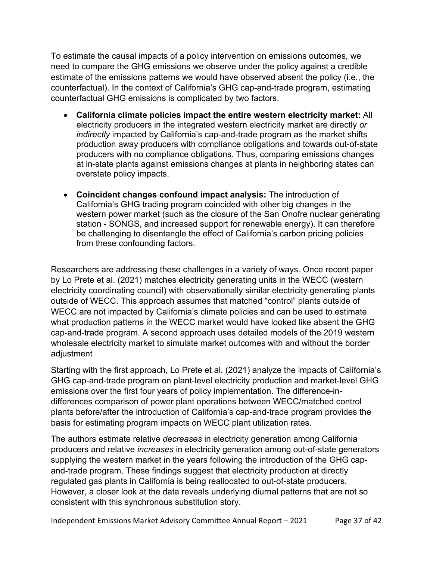To estimate the causal impacts of a policy intervention on emissions outcomes, we need to compare the GHG emissions we observe under the policy against a credible estimate of the emissions patterns we would have observed absent the policy (i.e., the counterfactual). In the context of California's GHG cap-and-trade program, estimating counterfactual GHG emissions is complicated by two factors.

- **California climate policies impact the entire western electricity market:** All electricity producers in the integrated western electricity market are directly *or indirectly* impacted by California's cap-and-trade program as the market shifts production away producers with compliance obligations and towards out-of-state producers with no compliance obligations. Thus, comparing emissions changes at in-state plants against emissions changes at plants in neighboring states can overstate policy impacts.
- **Coincident changes confound impact analysis:** The introduction of California's GHG trading program coincided with other big changes in the western power market (such as the closure of the San Onofre nuclear generating station - SONGS, and increased support for renewable energy). It can therefore be challenging to disentangle the effect of California's carbon pricing policies from these confounding factors.

Researchers are addressing these challenges in a variety of ways. Once recent paper by Lo Prete et al. (2021) matches electricity generating units in the WECC (western electricity coordinating council) with observationally similar electricity generating plants outside of WECC. This approach assumes that matched "control" plants outside of WECC are not impacted by California's climate policies and can be used to estimate what production patterns in the WECC market would have looked like absent the GHG cap-and-trade program. A second approach uses detailed models of the 2019 western wholesale electricity market to simulate market outcomes with and without the border adjustment

Starting with the first approach, Lo Prete et al. (2021) analyze the impacts of California's GHG cap-and-trade program on plant-level electricity production and market-level GHG emissions over the first four years of policy implementation. The difference-indifferences comparison of power plant operations between WECC/matched control plants before/after the introduction of California's cap-and-trade program provides the basis for estimating program impacts on WECC plant utilization rates.

The authors estimate relative *decreases* in electricity generation among California producers and relative *increases* in electricity generation among out-of-state generators supplying the western market in the years following the introduction of the GHG capand-trade program. These findings suggest that electricity production at directly regulated gas plants in California is being reallocated to out-of-state producers. However, a closer look at the data reveals underlying diurnal patterns that are not so consistent with this synchronous substitution story.

Independent Emissions Market Advisory Committee Annual Report – 2021 Page 37 of 42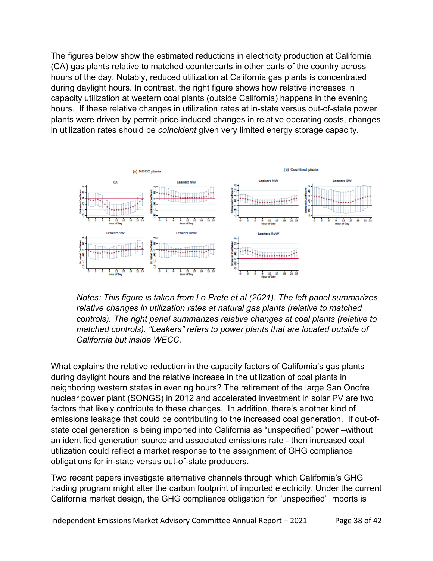The figures below show the estimated reductions in electricity production at California (CA) gas plants relative to matched counterparts in other parts of the country across hours of the day. Notably, reduced utilization at California gas plants is concentrated during daylight hours. In contrast, the right figure shows how relative increases in capacity utilization at western coal plants (outside California) happens in the evening hours. If these relative changes in utilization rates at in-state versus out-of-state power plants were driven by permit-price-induced changes in relative operating costs, changes in utilization rates should be *coincident* given very limited energy storage capacity.



*Notes: This figure is taken from Lo Prete et al (2021). The left panel summarizes relative changes in utilization rates at natural gas plants (relative to matched controls). The right panel summarizes relative changes at coal plants (relative to matched controls). "Leakers" refers to power plants that are located outside of California but inside WECC.*

What explains the relative reduction in the capacity factors of California's gas plants during daylight hours and the relative increase in the utilization of coal plants in neighboring western states in evening hours? The retirement of the large San Onofre nuclear power plant (SONGS) in 2012 and accelerated investment in solar PV are two factors that likely contribute to these changes. In addition, there's another kind of emissions leakage that could be contributing to the increased coal generation. If out-ofstate coal generation is being imported into California as "unspecified" power –without an identified generation source and associated emissions rate - then increased coal utilization could reflect a market response to the assignment of GHG compliance obligations for in-state versus out-of-state producers.

Two recent papers investigate alternative channels through which California's GHG trading program might alter the carbon footprint of imported electricity. Under the current California market design, the GHG compliance obligation for "unspecified" imports is

Independent Emissions Market Advisory Committee Annual Report – 2021 Page 38 of 42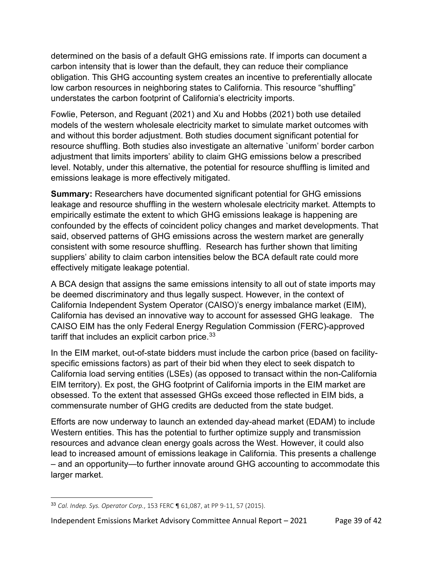determined on the basis of a default GHG emissions rate. If imports can document a carbon intensity that is lower than the default, they can reduce their compliance obligation. This GHG accounting system creates an incentive to preferentially allocate low carbon resources in neighboring states to California. This resource "shuffling" understates the carbon footprint of California's electricity imports.

Fowlie, Peterson, and Reguant (2021) and Xu and Hobbs (2021) both use detailed models of the western wholesale electricity market to simulate market outcomes with and without this border adjustment. Both studies document significant potential for resource shuffling. Both studies also investigate an alternative `uniform' border carbon adjustment that limits importers' ability to claim GHG emissions below a prescribed level. Notably, under this alternative, the potential for resource shuffling is limited and emissions leakage is more effectively mitigated.

**Summary:** Researchers have documented significant potential for GHG emissions leakage and resource shuffling in the western wholesale electricity market. Attempts to empirically estimate the extent to which GHG emissions leakage is happening are confounded by the effects of coincident policy changes and market developments. That said, observed patterns of GHG emissions across the western market are generally consistent with some resource shuffling. Research has further shown that limiting suppliers' ability to claim carbon intensities below the BCA default rate could more effectively mitigate leakage potential.

A BCA design that assigns the same emissions intensity to all out of state imports may be deemed discriminatory and thus legally suspect. However, in the context of California Independent System Operator (CAISO)'s energy imbalance market (EIM), California has devised an innovative way to account for assessed GHG leakage. The CAISO EIM has the only Federal Energy Regulation Commission (FERC)-approved tariff that includes an explicit carbon price. $33$ 

In the EIM market, out-of-state bidders must include the carbon price (based on facilityspecific emissions factors) as part of their bid when they elect to seek dispatch to California load serving entities (LSEs) (as opposed to transact within the non-California EIM territory). Ex post, the GHG footprint of California imports in the EIM market are obsessed. To the extent that assessed GHGs exceed those reflected in EIM bids, a commensurate number of GHG credits are deducted from the state budget.

Efforts are now underway to launch an extended day-ahead market (EDAM) to include Western entities. This has the potential to further optimize supply and transmission resources and advance clean energy goals across the West. However, it could also lead to increased amount of emissions leakage in California. This presents a challenge – and an opportunity—to further innovate around GHG accounting to accommodate this larger market.

<span id="page-38-0"></span><sup>33</sup> *Cal. Indep. Sys. Operator Corp.*, 153 FERC ¶ 61,087, at PP 9-11, 57 (2015).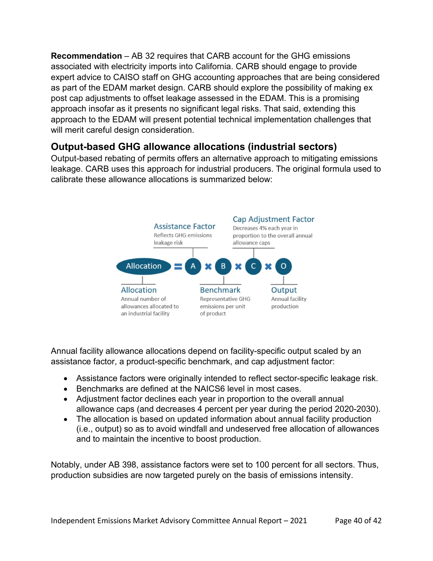**Recommendation** – AB 32 requires that CARB account for the GHG emissions associated with electricity imports into California. CARB should engage to provide expert advice to CAISO staff on GHG accounting approaches that are being considered as part of the EDAM market design. CARB should explore the possibility of making ex post cap adjustments to offset leakage assessed in the EDAM. This is a promising approach insofar as it presents no significant legal risks. That said, extending this approach to the EDAM will present potential technical implementation challenges that will merit careful design consideration.

## **Output-based GHG allowance allocations (industrial sectors)**

Output-based rebating of permits offers an alternative approach to mitigating emissions leakage. CARB uses this approach for industrial producers. The original formula used to calibrate these allowance allocations is summarized below:



Annual facility allowance allocations depend on facility-specific output scaled by an assistance factor, a product-specific benchmark, and cap adjustment factor:

- Assistance factors were originally intended to reflect sector-specific leakage risk.
- Benchmarks are defined at the NAICS6 level in most cases.
- Adjustment factor declines each year in proportion to the overall annual allowance caps (and decreases 4 percent per year during the period 2020-2030).
- The allocation is based on updated information about annual facility production (i.e., output) so as to avoid windfall and undeserved free allocation of allowances and to maintain the incentive to boost production.

Notably, under AB 398, assistance factors were set to 100 percent for all sectors. Thus, production subsidies are now targeted purely on the basis of emissions intensity.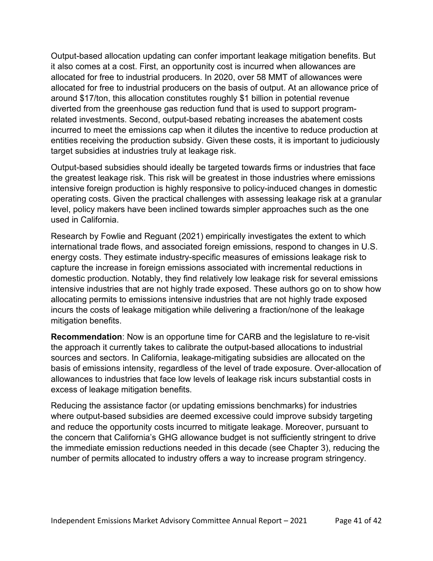Output-based allocation updating can confer important leakage mitigation benefits. But it also comes at a cost. First, an opportunity cost is incurred when allowances are allocated for free to industrial producers. In 2020, over 58 MMT of allowances were allocated for free to industrial producers on the basis of output. At an allowance price of around \$17/ton, this allocation constitutes roughly \$1 billion in potential revenue diverted from the greenhouse gas reduction fund that is used to support programrelated investments. Second, output-based rebating increases the abatement costs incurred to meet the emissions cap when it dilutes the incentive to reduce production at entities receiving the production subsidy. Given these costs, it is important to judiciously target subsidies at industries truly at leakage risk.

Output-based subsidies should ideally be targeted towards firms or industries that face the greatest leakage risk. This risk will be greatest in those industries where emissions intensive foreign production is highly responsive to policy-induced changes in domestic operating costs. Given the practical challenges with assessing leakage risk at a granular level, policy makers have been inclined towards simpler approaches such as the one used in California.

Research by Fowlie and Reguant (2021) empirically investigates the extent to which international trade flows, and associated foreign emissions, respond to changes in U.S. energy costs. They estimate industry-specific measures of emissions leakage risk to capture the increase in foreign emissions associated with incremental reductions in domestic production. Notably, they find relatively low leakage risk for several emissions intensive industries that are not highly trade exposed. These authors go on to show how allocating permits to emissions intensive industries that are not highly trade exposed incurs the costs of leakage mitigation while delivering a fraction/none of the leakage mitigation benefits.

**Recommendation**: Now is an opportune time for CARB and the legislature to re-visit the approach it currently takes to calibrate the output-based allocations to industrial sources and sectors. In California, leakage-mitigating subsidies are allocated on the basis of emissions intensity, regardless of the level of trade exposure. Over-allocation of allowances to industries that face low levels of leakage risk incurs substantial costs in excess of leakage mitigation benefits.

Reducing the assistance factor (or updating emissions benchmarks) for industries where output-based subsidies are deemed excessive could improve subsidy targeting and reduce the opportunity costs incurred to mitigate leakage. Moreover, pursuant to the concern that California's GHG allowance budget is not sufficiently stringent to drive the immediate emission reductions needed in this decade (see Chapter 3), reducing the number of permits allocated to industry offers a way to increase program stringency.